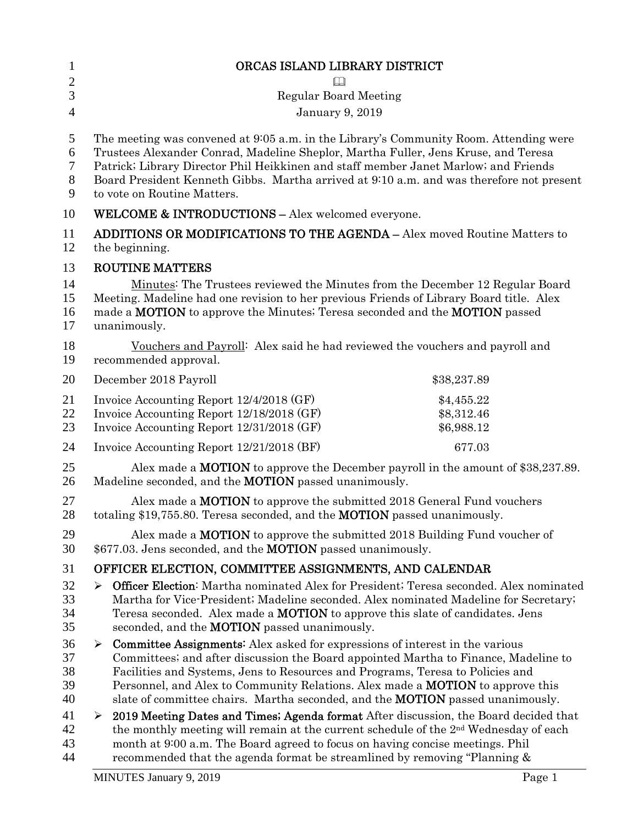| $\mathbf{1}$                     | ORCAS ISLAND LIBRARY DISTRICT                                                                                                                                                                                                                                                                                                                                                                                                                       |  |  |
|----------------------------------|-----------------------------------------------------------------------------------------------------------------------------------------------------------------------------------------------------------------------------------------------------------------------------------------------------------------------------------------------------------------------------------------------------------------------------------------------------|--|--|
| $\mathbf{2}$                     |                                                                                                                                                                                                                                                                                                                                                                                                                                                     |  |  |
| 3                                | <b>Regular Board Meeting</b>                                                                                                                                                                                                                                                                                                                                                                                                                        |  |  |
| $\overline{4}$                   | January 9, 2019                                                                                                                                                                                                                                                                                                                                                                                                                                     |  |  |
| 5<br>6<br>7<br>$8\,$<br>9        | The meeting was convened at 9:05 a.m. in the Library's Community Room. Attending were<br>Trustees Alexander Conrad, Madeline Sheplor, Martha Fuller, Jens Kruse, and Teresa<br>Patrick; Library Director Phil Heikkinen and staff member Janet Marlow; and Friends<br>Board President Kenneth Gibbs. Martha arrived at 9:10 a.m. and was therefore not present<br>to vote on Routine Matters.                                                       |  |  |
| 10                               | <b>WELCOME &amp; INTRODUCTIONS - Alex welcomed everyone.</b>                                                                                                                                                                                                                                                                                                                                                                                        |  |  |
| 11<br>12                         | <b>ADDITIONS OR MODIFICATIONS TO THE AGENDA - Alex moved Routine Matters to</b><br>the beginning.                                                                                                                                                                                                                                                                                                                                                   |  |  |
| 13                               | <b>ROUTINE MATTERS</b>                                                                                                                                                                                                                                                                                                                                                                                                                              |  |  |
| 14<br>15<br>16<br>17             | Minutes: The Trustees reviewed the Minutes from the December 12 Regular Board<br>Meeting. Madeline had one revision to her previous Friends of Library Board title. Alex<br>made a <b>MOTION</b> to approve the Minutes; Teresa seconded and the <b>MOTION</b> passed<br>unanimously.                                                                                                                                                               |  |  |
| 18<br>19                         | Vouchers and Payroll: Alex said he had reviewed the vouchers and payroll and<br>recommended approval.                                                                                                                                                                                                                                                                                                                                               |  |  |
| 20                               | December 2018 Payroll<br>\$38,237.89                                                                                                                                                                                                                                                                                                                                                                                                                |  |  |
| 21<br>22<br>23                   | Invoice Accounting Report 12/4/2018 (GF)<br>\$4,455.22<br>Invoice Accounting Report 12/18/2018 (GF)<br>\$8,312.46<br>Invoice Accounting Report 12/31/2018 (GF)<br>\$6,988.12                                                                                                                                                                                                                                                                        |  |  |
| 24                               | Invoice Accounting Report 12/21/2018 (BF)<br>677.03                                                                                                                                                                                                                                                                                                                                                                                                 |  |  |
| 25<br>26                         | Alex made a <b>MOTION</b> to approve the December payroll in the amount of \$38,237.89.<br>Madeline seconded, and the <b>MOTION</b> passed unanimously.                                                                                                                                                                                                                                                                                             |  |  |
| 27<br>28                         | Alex made a <b>MOTION</b> to approve the submitted 2018 General Fund vouchers<br>totaling \$19,755.80. Teresa seconded, and the <b>MOTION</b> passed unanimously.                                                                                                                                                                                                                                                                                   |  |  |
| 29<br>30                         | Alex made a <b>MOTION</b> to approve the submitted 2018 Building Fund voucher of<br>\$677.03. Jens seconded, and the <b>MOTION</b> passed unanimously.                                                                                                                                                                                                                                                                                              |  |  |
| 31                               | OFFICER ELECTION, COMMITTEE ASSIGNMENTS, AND CALENDAR                                                                                                                                                                                                                                                                                                                                                                                               |  |  |
| 32<br>33<br>34<br>35             | <b>Officer Election:</b> Martha nominated Alex for President; Teresa seconded. Alex nominated<br>➤<br>Martha for Vice-President; Madeline seconded. Alex nominated Madeline for Secretary;<br>Teresa seconded. Alex made a <b>MOTION</b> to approve this slate of candidates. Jens<br>seconded, and the <b>MOTION</b> passed unanimously.                                                                                                           |  |  |
| 36<br>37<br>38<br>39<br>40<br>41 | <b>Committee Assignments:</b> Alex asked for expressions of interest in the various<br>➤<br>Committees; and after discussion the Board appointed Martha to Finance, Madeline to<br>Facilities and Systems, Jens to Resources and Programs, Teresa to Policies and<br>Personnel, and Alex to Community Relations. Alex made a <b>MOTION</b> to approve this<br>slate of committee chairs. Martha seconded, and the <b>MOTION</b> passed unanimously. |  |  |
| 42<br>43<br>44                   | 2019 Meeting Dates and Times; Agenda format After discussion, the Board decided that<br>➤<br>the monthly meeting will remain at the current schedule of the $2nd$ Wednesday of each<br>month at 9:00 a.m. The Board agreed to focus on having concise meetings. Phil<br>recommended that the agenda format be streamlined by removing "Planning &                                                                                                   |  |  |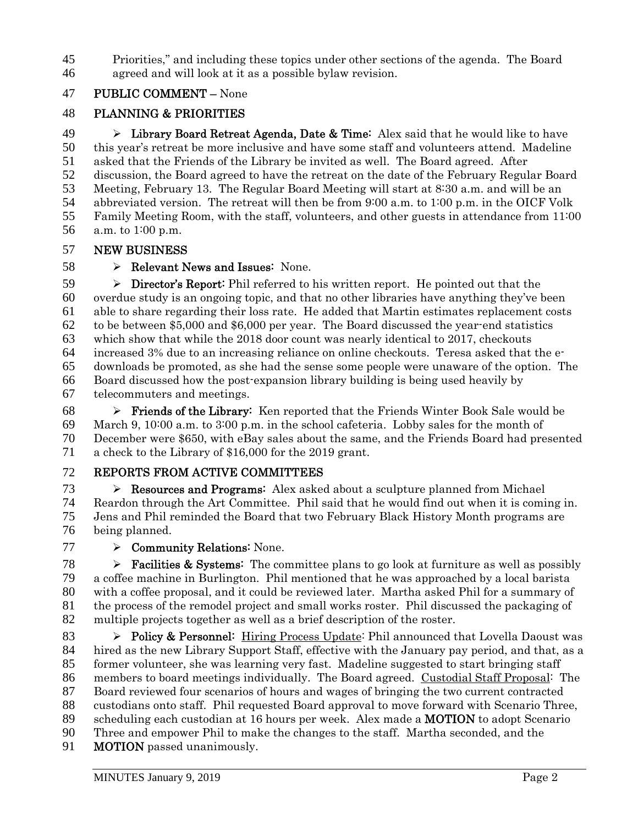Priorities," and including these topics under other sections of the agenda. The Board agreed and will look at it as a possible bylaw revision.

## PUBLIC COMMENT – None

## PLANNING & PRIORITIES

**Example 20 Exercise Agents** Library Board Retreat Agenda, Date & Time: Alex said that he would like to have this year's retreat be more inclusive and have some staff and volunteers attend. Madeline asked that the Friends of the Library be invited as well. The Board agreed. After discussion, the Board agreed to have the retreat on the date of the February Regular Board Meeting, February 13. The Regular Board Meeting will start at 8:30 a.m. and will be an abbreviated version. The retreat will then be from 9:00 a.m. to 1:00 p.m. in the OICF Volk Family Meeting Room, with the staff, volunteers, and other guests in attendance from 11:00 a.m. to 1:00 p.m.

## NEW BUSINESS

## $58 \rightarrow \text{Relevant News and Issues: None.}$

 $\triangleright$  **Director's Report:** Phil referred to his written report. He pointed out that the overdue study is an ongoing topic, and that no other libraries have anything they've been able to share regarding their loss rate. He added that Martin estimates replacement costs to be between \$5,000 and \$6,000 per year. The Board discussed the year-end statistics which show that while the 2018 door count was nearly identical to 2017, checkouts increased 3% due to an increasing reliance on online checkouts. Teresa asked that the e-downloads be promoted, as she had the sense some people were unaware of the option. The Board discussed how the post-expansion library building is being used heavily by telecommuters and meetings.

 $68 \rightarrow$  Friends of the Library: Ken reported that the Friends Winter Book Sale would be March 9, 10:00 a.m. to 3:00 p.m. in the school cafeteria. Lobby sales for the month of December were \$650, with eBay sales about the same, and the Friends Board had presented a check to the Library of \$16,000 for the 2019 grant.

## REPORTS FROM ACTIVE COMMITTEES

 $\triangleright$  **Resources and Programs:** Alex asked about a sculpture planned from Michael Reardon through the Art Committee. Phil said that he would find out when it is coming in. Jens and Phil reminded the Board that two February Black History Month programs are being planned.

> Community Relations: None.

 $\triangleright$  **Facilities & Systems:** The committee plans to go look at furniture as well as possibly a coffee machine in Burlington. Phil mentioned that he was approached by a local barista with a coffee proposal, and it could be reviewed later. Martha asked Phil for a summary of the process of the remodel project and small works roster. Phil discussed the packaging of multiple projects together as well as a brief description of the roster.

 $\rightarrow$  Policy & Personnel: Hiring Process Update: Phil announced that Lovella Daoust was hired as the new Library Support Staff, effective with the January pay period, and that, as a former volunteer, she was learning very fast. Madeline suggested to start bringing staff members to board meetings individually. The Board agreed. Custodial Staff Proposal: The Board reviewed four scenarios of hours and wages of bringing the two current contracted custodians onto staff. Phil requested Board approval to move forward with Scenario Three, scheduling each custodian at 16 hours per week. Alex made a MOTION to adopt Scenario Three and empower Phil to make the changes to the staff. Martha seconded, and the **MOTION** passed unanimously.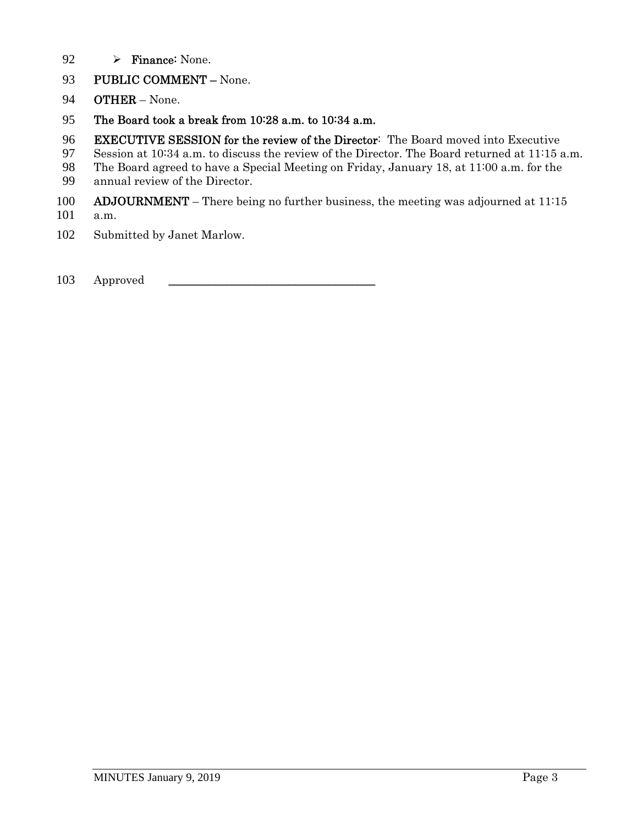- 92  $\rightarrow$  Finance: None.
- 93 PUBLIC COMMENT None.
- OTHER None.
- The Board took a break from 10:28 a.m. to 10:34 a.m.
- EXECUTIVE SESSION for the review of the Director: The Board moved into Executive
- Session at 10:34 a.m. to discuss the review of the Director. The Board returned at 11:15 a.m.
- The Board agreed to have a Special Meeting on Friday, January 18, at 11:00 a.m. for the
- annual review of the Director.
- 100 ADJOURNMENT There being no further business, the meeting was adjourned at 11:15
- a.m.
- Submitted by Janet Marlow.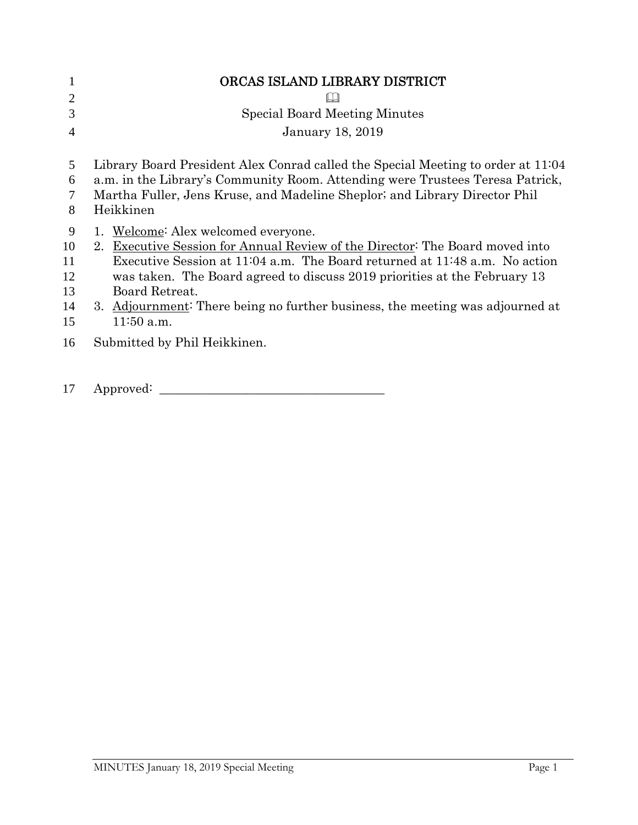| 1                                     | ORCAS ISLAND LIBRARY DISTRICT                                                                                                                                                                                                                                                                                                                                                                             |
|---------------------------------------|-----------------------------------------------------------------------------------------------------------------------------------------------------------------------------------------------------------------------------------------------------------------------------------------------------------------------------------------------------------------------------------------------------------|
| $\overline{2}$                        |                                                                                                                                                                                                                                                                                                                                                                                                           |
| 3                                     | <b>Special Board Meeting Minutes</b>                                                                                                                                                                                                                                                                                                                                                                      |
| 4                                     | <b>January 18, 2019</b>                                                                                                                                                                                                                                                                                                                                                                                   |
| 5                                     | Library Board President Alex Conrad called the Special Meeting to order at 11:04                                                                                                                                                                                                                                                                                                                          |
| 6                                     | a.m. in the Library's Community Room. Attending were Trustees Teresa Patrick,                                                                                                                                                                                                                                                                                                                             |
| $\tau$<br>8                           | Martha Fuller, Jens Kruse, and Madeline Sheplor; and Library Director Phil<br>Heikkinen                                                                                                                                                                                                                                                                                                                   |
| 9<br>10<br>11<br>12<br>13<br>14<br>15 | 1. Welcome: Alex welcomed everyone.<br>Executive Session for Annual Review of the Director: The Board moved into<br>$2_{-}$<br>Executive Session at 11:04 a.m. The Board returned at 11:48 a.m. No action<br>was taken. The Board agreed to discuss 2019 priorities at the February 13<br>Board Retreat.<br>3. Adjournment: There being no further business, the meeting was adjourned at<br>$11:50$ a.m. |
| 16                                    | Submitted by Phil Heikkinen.                                                                                                                                                                                                                                                                                                                                                                              |
| 17                                    | Approved:                                                                                                                                                                                                                                                                                                                                                                                                 |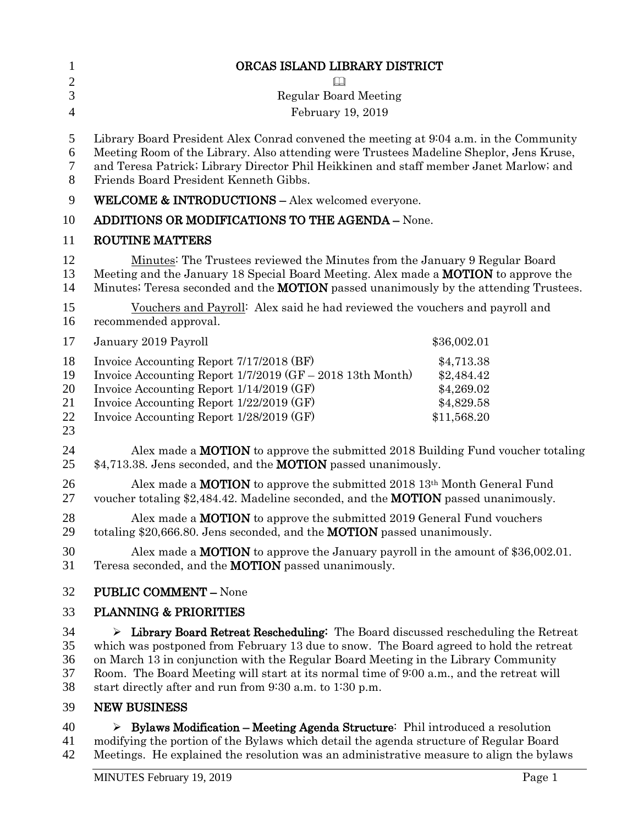| $\mathbf{1}$<br>$\overline{2}$   | ORCAS ISLAND LIBRARY DISTRICT                                                                                                                                                                                                                                                                                                                                                                                                 |                                                                     |
|----------------------------------|-------------------------------------------------------------------------------------------------------------------------------------------------------------------------------------------------------------------------------------------------------------------------------------------------------------------------------------------------------------------------------------------------------------------------------|---------------------------------------------------------------------|
| 3                                | <b>Regular Board Meeting</b>                                                                                                                                                                                                                                                                                                                                                                                                  |                                                                     |
| $\overline{4}$                   | February 19, 2019                                                                                                                                                                                                                                                                                                                                                                                                             |                                                                     |
| 5<br>6<br>7<br>8                 | Library Board President Alex Conrad convened the meeting at 9:04 a.m. in the Community<br>Meeting Room of the Library. Also attending were Trustees Madeline Sheplor, Jens Kruse,<br>and Teresa Patrick; Library Director Phil Heikkinen and staff member Janet Marlow; and<br>Friends Board President Kenneth Gibbs.                                                                                                         |                                                                     |
| 9                                | <b>WELCOME &amp; INTRODUCTIONS - Alex welcomed everyone.</b>                                                                                                                                                                                                                                                                                                                                                                  |                                                                     |
| 10                               | <b>ADDITIONS OR MODIFICATIONS TO THE AGENDA - None.</b>                                                                                                                                                                                                                                                                                                                                                                       |                                                                     |
| 11                               | <b>ROUTINE MATTERS</b>                                                                                                                                                                                                                                                                                                                                                                                                        |                                                                     |
| 12<br>13<br>14                   | Minutes: The Trustees reviewed the Minutes from the January 9 Regular Board<br>Meeting and the January 18 Special Board Meeting. Alex made a <b>MOTION</b> to approve the<br>Minutes: Teresa seconded and the <b>MOTION</b> passed unanimously by the attending Trustees.                                                                                                                                                     |                                                                     |
| 15<br>16                         | Vouchers and Payroll: Alex said he had reviewed the vouchers and payroll and<br>recommended approval.                                                                                                                                                                                                                                                                                                                         |                                                                     |
| 17                               | January 2019 Payroll                                                                                                                                                                                                                                                                                                                                                                                                          | \$36,002.01                                                         |
| 18<br>19<br>20<br>21<br>22<br>23 | Invoice Accounting Report 7/17/2018 (BF)<br>Invoice Accounting Report 1/7/2019 (GF – 2018 13th Month)<br>Invoice Accounting Report 1/14/2019 (GF)<br>Invoice Accounting Report 1/22/2019 (GF)<br>Invoice Accounting Report 1/28/2019 (GF)                                                                                                                                                                                     | \$4,713.38<br>\$2,484.42<br>\$4,269.02<br>\$4,829.58<br>\$11,568.20 |
| 24<br>25                         | Alex made a <b>MOTION</b> to approve the submitted 2018 Building Fund voucher totaling<br>\$4,713.38. Jens seconded, and the <b>MOTION</b> passed unanimously.                                                                                                                                                                                                                                                                |                                                                     |
| 26<br>27                         | Alex made a <b>MOTION</b> to approve the submitted $2018\ 13th$ Month General Fund<br>voucher totaling \$2,484.42. Madeline seconded, and the <b>MOTION</b> passed unanimously.                                                                                                                                                                                                                                               |                                                                     |
| 28<br>29                         | Alex made a <b>MOTION</b> to approve the submitted 2019 General Fund vouchers<br>totaling \$20,666.80. Jens seconded, and the <b>MOTION</b> passed unanimously.                                                                                                                                                                                                                                                               |                                                                     |
| 30<br>31                         | Alex made a <b>MOTION</b> to approve the January payroll in the amount of $$36,002.01$ .<br>Teresa seconded, and the <b>MOTION</b> passed unanimously.                                                                                                                                                                                                                                                                        |                                                                     |
| 32                               | <b>PUBLIC COMMENT - None</b>                                                                                                                                                                                                                                                                                                                                                                                                  |                                                                     |
| 33                               | <b>PLANNING &amp; PRIORITIES</b>                                                                                                                                                                                                                                                                                                                                                                                              |                                                                     |
| 34<br>35<br>36<br>37<br>38       | Library Board Retreat Rescheduling: The Board discussed rescheduling the Retreat<br>➤<br>which was postponed from February 13 due to snow. The Board agreed to hold the retreat<br>on March 13 in conjunction with the Regular Board Meeting in the Library Community<br>Room. The Board Meeting will start at its normal time of 9:00 a.m., and the retreat will<br>start directly after and run from 9:30 a.m. to 1:30 p.m. |                                                                     |
| 39                               | <b>NEW BUSINESS</b>                                                                                                                                                                                                                                                                                                                                                                                                           |                                                                     |
| 40                               | $\triangleright$ Rylaws Modification – Meeting Agenda Structure: Phil introduced a resolution                                                                                                                                                                                                                                                                                                                                 |                                                                     |

40  $\triangleright$  Bylaws Modification – Meeting Agenda Structure: Phil introduced a resolution 41 modifying the portion of the Bylaws which detail the agenda structure of Regular Board 42 Meetings. He explained the resolution was an administrative measure to align the bylaws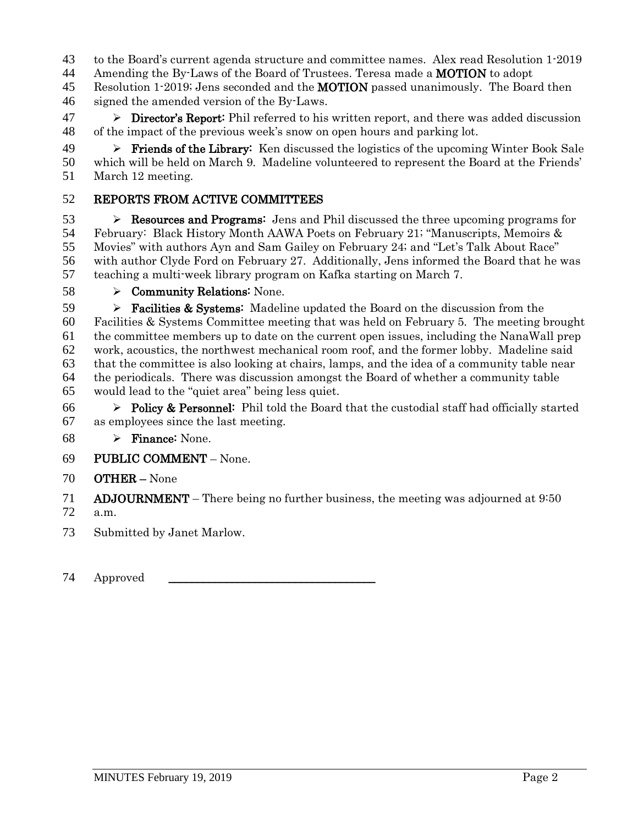- to the Board's current agenda structure and committee names. Alex read Resolution 1-2019
- 44 Amending the By-Laws of the Board of Trustees. Teresa made a **MOTION** to adopt
- 45 Resolution 1-2019; Jens seconded and the **MOTION** passed unanimously. The Board then signed the amended version of the By-Laws.
- $47 \rightarrow$  Director's Report: Phil referred to his written report, and there was added discussion of the impact of the previous week's snow on open hours and parking lot.
- 49  $\triangleright$  Friends of the Library: Ken discussed the logistics of the upcoming Winter Book Sale which will be held on March 9. Madeline volunteered to represent the Board at the Friends' March 12 meeting.

### REPORTS FROM ACTIVE COMMITTEES

 $\triangleright$  **Resources and Programs:** Jens and Phil discussed the three upcoming programs for February: Black History Month AAWA Poets on February 21; "Manuscripts, Memoirs & Movies" with authors Ayn and Sam Gailey on February 24; and "Let's Talk About Race" with author Clyde Ford on February 27. Additionally, Jens informed the Board that he was teaching a multi-week library program on Kafka starting on March 7.

Community Relations: None.

**Facilities & Systems:** Madeline updated the Board on the discussion from the Facilities & Systems Committee meeting that was held on February 5. The meeting brought the committee members up to date on the current open issues, including the NanaWall prep work, acoustics, the northwest mechanical room roof, and the former lobby. Madeline said that the committee is also looking at chairs, lamps, and the idea of a community table near the periodicals. There was discussion amongst the Board of whether a community table would lead to the "quiet area" being less quiet.

- 66  $\triangleright$  Policy & Personnel: Phil told the Board that the custodial staff had officially started as employees since the last meeting.
- 68  $\triangleright$  Finance: None.
- PUBLIC COMMENT None.
- OTHER None

ADJOURNMENT – There being no further business, the meeting was adjourned at 9:50

a.m.

- Submitted by Janet Marlow.
- 74 Approved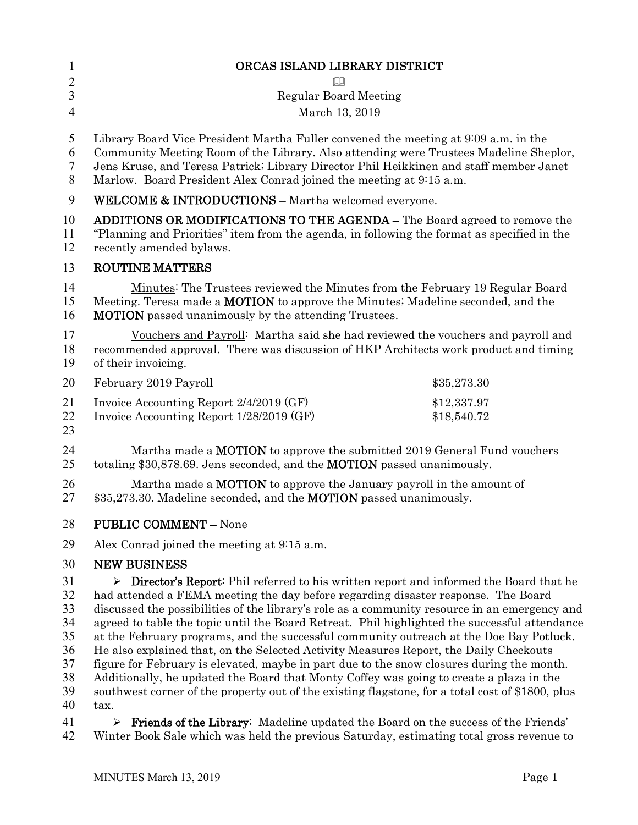| $\mathbf{1}$   | ORCAS ISLAND LIBRARY DISTRICT                                                                                                                                                                                                                   |                            |
|----------------|-------------------------------------------------------------------------------------------------------------------------------------------------------------------------------------------------------------------------------------------------|----------------------------|
| $\overline{c}$ |                                                                                                                                                                                                                                                 |                            |
| 3              | <b>Regular Board Meeting</b>                                                                                                                                                                                                                    |                            |
| $\overline{4}$ | March 13, 2019                                                                                                                                                                                                                                  |                            |
| 5              | Library Board Vice President Martha Fuller convened the meeting at 9:09 a.m. in the                                                                                                                                                             |                            |
| 6              | Community Meeting Room of the Library. Also attending were Trustees Madeline Sheplor,                                                                                                                                                           |                            |
| 7              | Jens Kruse, and Teresa Patrick; Library Director Phil Heikkinen and staff member Janet                                                                                                                                                          |                            |
| 8              | Marlow. Board President Alex Conrad joined the meeting at 9:15 a.m.                                                                                                                                                                             |                            |
| 9              | <b>WELCOME &amp; INTRODUCTIONS - Martha welcomed everyone.</b>                                                                                                                                                                                  |                            |
| 10<br>11<br>12 | ADDITIONS OR MODIFICATIONS TO THE AGENDA - The Board agreed to remove the<br>"Planning and Priorities" item from the agenda, in following the format as specified in the<br>recently amended bylaws.                                            |                            |
| 13             | <b>ROUTINE MATTERS</b>                                                                                                                                                                                                                          |                            |
| 14<br>15<br>16 | <u>Minutes</u> : The Trustees reviewed the Minutes from the February 19 Regular Board<br>Meeting. Teresa made a <b>MOTION</b> to approve the Minutes; Madeline seconded, and the<br><b>MOTION</b> passed unanimously by the attending Trustees. |                            |
| 17<br>18<br>19 | Vouchers and Payroll: Martha said she had reviewed the vouchers and payroll and<br>recommended approval. There was discussion of HKP Architects work product and timing<br>of their invoicing.                                                  |                            |
| 20             | February 2019 Payroll                                                                                                                                                                                                                           | \$35,273.30                |
| 21<br>22<br>23 | Invoice Accounting Report 2/4/2019 (GF)<br>Invoice Accounting Report 1/28/2019 (GF)                                                                                                                                                             | \$12,337.97<br>\$18,540.72 |
| 24<br>25       | Martha made a MOTION to approve the submitted 2019 General Fund vouchers<br>totaling \$30,878.69. Jens seconded, and the <b>MOTION</b> passed unanimously.                                                                                      |                            |
| 26<br>27       | Martha made a <b>MOTION</b> to approve the January payroll in the amount of<br>\$35,273.30. Madeline seconded, and the <b>MOTION</b> passed unanimously.                                                                                        |                            |
| 28             | <b>PUBLIC COMMENT - None</b>                                                                                                                                                                                                                    |                            |
| 29             | Alex Conrad joined the meeting at 9:15 a.m.                                                                                                                                                                                                     |                            |
| 30             | <b>NEW BUSINESS</b>                                                                                                                                                                                                                             |                            |
| 31             | <b>Director's Report:</b> Phil referred to his written report and informed the Board that he<br>➤                                                                                                                                               |                            |
| 32             | had attended a FEMA meeting the day before regarding disaster response. The Board                                                                                                                                                               |                            |
| 33             | discussed the possibilities of the library's role as a community resource in an emergency and                                                                                                                                                   |                            |
| 34             | agreed to table the topic until the Board Retreat. Phil highlighted the successful attendance                                                                                                                                                   |                            |
| 35             | at the February programs, and the successful community outreach at the Doe Bay Potluck.                                                                                                                                                         |                            |
| 36             | He also explained that, on the Selected Activity Measures Report, the Daily Checkouts                                                                                                                                                           |                            |
| 37             | figure for February is elevated, maybe in part due to the snow closures during the month.                                                                                                                                                       |                            |
| 38<br>39       | Additionally, he updated the Board that Monty Coffey was going to create a plaza in the                                                                                                                                                         |                            |
| 40             | southwest corner of the property out of the existing flagstone, for a total cost of \$1800, plus<br>tax.                                                                                                                                        |                            |
| 41             | $\blacktriangleright$                                                                                                                                                                                                                           |                            |
|                | Friends of the Library: Madeline updated the Board on the success of the Friends'                                                                                                                                                               |                            |

Winter Book Sale which was held the previous Saturday, estimating total gross revenue to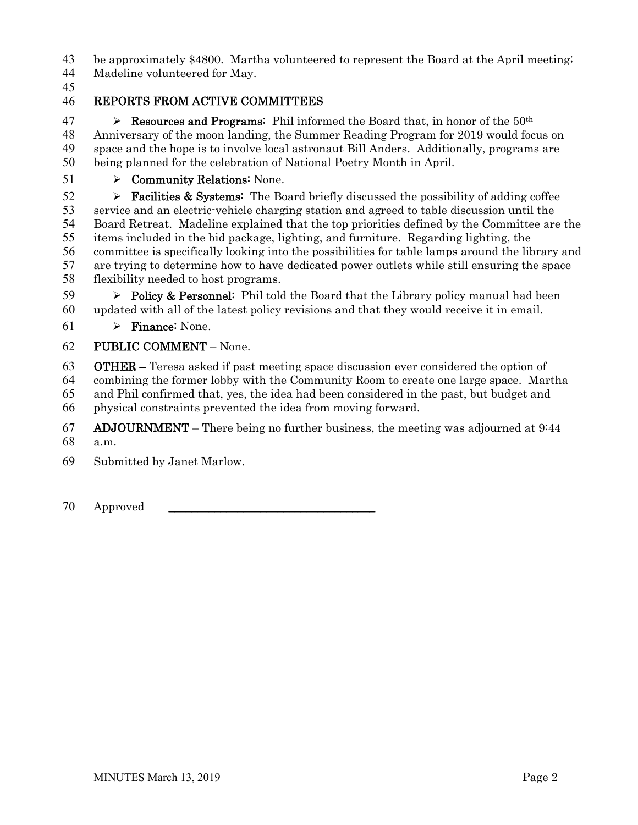be approximately \$4800. Martha volunteered to represent the Board at the April meeting;

- Madeline volunteered for May.
- 

## REPORTS FROM ACTIVE COMMITTEES

47 Resources and Programs: Phil informed the Board that, in honor of the  $50<sup>th</sup>$ Anniversary of the moon landing, the Summer Reading Program for 2019 would focus on space and the hope is to involve local astronaut Bill Anders. Additionally, programs are being planned for the celebration of National Poetry Month in April.

51  $\rightarrow$  Community Relations: None.

 $\triangleright$  **Facilities & Systems:** The Board briefly discussed the possibility of adding coffee service and an electric-vehicle charging station and agreed to table discussion until the Board Retreat. Madeline explained that the top priorities defined by the Committee are the items included in the bid package, lighting, and furniture. Regarding lighting, the committee is specifically looking into the possibilities for table lamps around the library and are trying to determine how to have dedicated power outlets while still ensuring the space flexibility needed to host programs.

59  $\triangleright$  Policy & Personnel: Phil told the Board that the Library policy manual had been updated with all of the latest policy revisions and that they would receive it in email.

61  $\triangleright$  Finance: None.

## PUBLIC COMMENT – None.

OTHER – Teresa asked if past meeting space discussion ever considered the option of combining the former lobby with the Community Room to create one large space. Martha and Phil confirmed that, yes, the idea had been considered in the past, but budget and physical constraints prevented the idea from moving forward.

67 ADJOURNMENT – There being no further business, the meeting was adjourned at  $9:44$ a.m.

Submitted by Janet Marlow.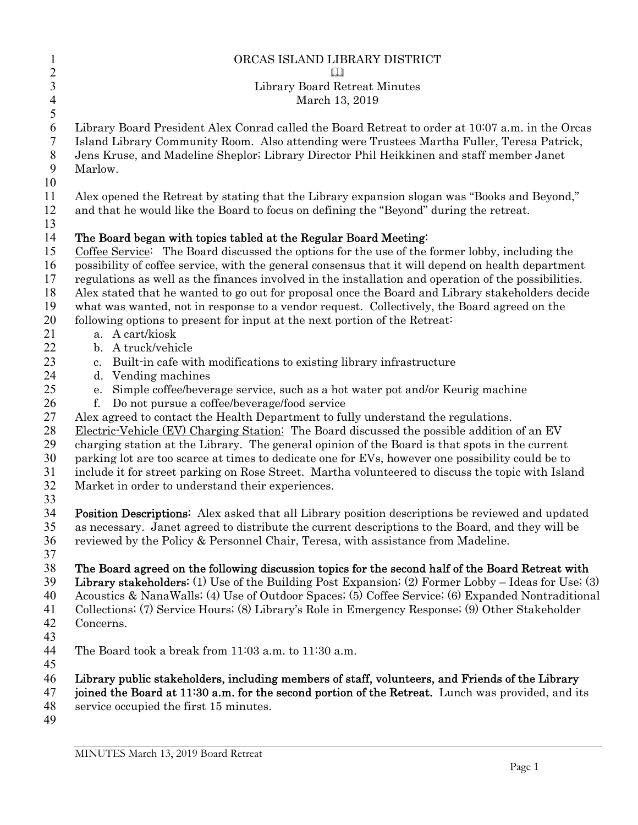| $\mathbf{l}$<br>$\overline{c}$                         | ORCAS ISLAND LIBRARY DISTRICT                                                                                                                                                                                                                                                                                                                                                                                                                                                                                                                                                                                                                                                            |
|--------------------------------------------------------|------------------------------------------------------------------------------------------------------------------------------------------------------------------------------------------------------------------------------------------------------------------------------------------------------------------------------------------------------------------------------------------------------------------------------------------------------------------------------------------------------------------------------------------------------------------------------------------------------------------------------------------------------------------------------------------|
| 3<br>$\overline{4}$                                    | Library Board Retreat Minutes<br>March 13, 2019                                                                                                                                                                                                                                                                                                                                                                                                                                                                                                                                                                                                                                          |
| 5<br>6<br>$\tau$<br>$\,8\,$<br>9<br>10                 | Library Board President Alex Conrad called the Board Retreat to order at 10007 a.m. in the Orcas<br>Island Library Community Room. Also attending were Trustees Martha Fuller, Teresa Patrick,<br>Jens Kruse, and Madeline Sheplor; Library Director Phil Heikkinen and staff member Janet<br>Marlow.                                                                                                                                                                                                                                                                                                                                                                                    |
| 11<br>12<br>13                                         | Alex opened the Retreat by stating that the Library expansion slogan was "Books and Beyond,"<br>and that he would like the Board to focus on defining the "Beyond" during the retreat.                                                                                                                                                                                                                                                                                                                                                                                                                                                                                                   |
| 14<br>15<br>16<br>17<br>18<br>19<br>20<br>21           | The Board began with topics tabled at the Regular Board Meeting:<br>Coffee Service: The Board discussed the options for the use of the former lobby, including the<br>possibility of coffee service, with the general consensus that it will depend on health department<br>regulations as well as the finances involved in the installation and operation of the possibilities.<br>Alex stated that he wanted to go out for proposal once the Board and Library stakeholders decide<br>what was wanted, not in response to a vendor request. Collectively, the Board agreed on the<br>following options to present for input at the next portion of the Retreat:<br>a. A cart/kiosk     |
| 22<br>23<br>24                                         | b. A truck/vehicle<br>c. Built in cafe with modifications to existing library infrastructure<br>d. Vending machines                                                                                                                                                                                                                                                                                                                                                                                                                                                                                                                                                                      |
| 25<br>26<br>$27\,$<br>28<br>29<br>30<br>31<br>32<br>33 | e. Simple coffee/beverage service, such as a hot water pot and/or Keurig machine<br>Do not pursue a coffee/beverage/food service<br>f.<br>Alex agreed to contact the Health Department to fully understand the regulations.<br>Electric-Vehicle (EV) Charging Station: The Board discussed the possible addition of an EV<br>charging station at the Library. The general opinion of the Board is that spots in the current<br>parking lot are too scarce at times to dedicate one for EVs, however one possibility could be to<br>include it for street parking on Rose Street. Martha volunteered to discuss the topic with Island<br>Market in order to understand their experiences. |
| 34<br>35<br>36<br>37                                   | Position Descriptions: Alex asked that all Library position descriptions be reviewed and updated<br>as necessary. Janet agreed to distribute the current descriptions to the Board, and they will be<br>reviewed by the Policy & Personnel Chair, Teresa, with assistance from Madeline.                                                                                                                                                                                                                                                                                                                                                                                                 |
| 38<br>39<br>40<br>41<br>42<br>43                       | The Board agreed on the following discussion topics for the second half of the Board Retreat with<br><b>Library stakeholders:</b> (1) Use of the Building Post Expansion; (2) Former Lobby – Ideas for Use; (3)<br>Acoustics & NanaWalls; (4) Use of Outdoor Spaces; (5) Coffee Service; (6) Expanded Nontraditional<br>Collections; (7) Service Hours; (8) Library's Role in Emergency Response; (9) Other Stakeholder<br>Concerns.                                                                                                                                                                                                                                                     |
| 44<br>45                                               | The Board took a break from 11:03 a.m. to 11:30 a.m.                                                                                                                                                                                                                                                                                                                                                                                                                                                                                                                                                                                                                                     |
| 46<br>47<br>48<br>49                                   | Library public stakeholders, including members of staff, volunteers, and Friends of the Library<br>joined the Board at 11:30 a.m. for the second portion of the Retreat. Lunch was provided, and its<br>service occupied the first 15 minutes.                                                                                                                                                                                                                                                                                                                                                                                                                                           |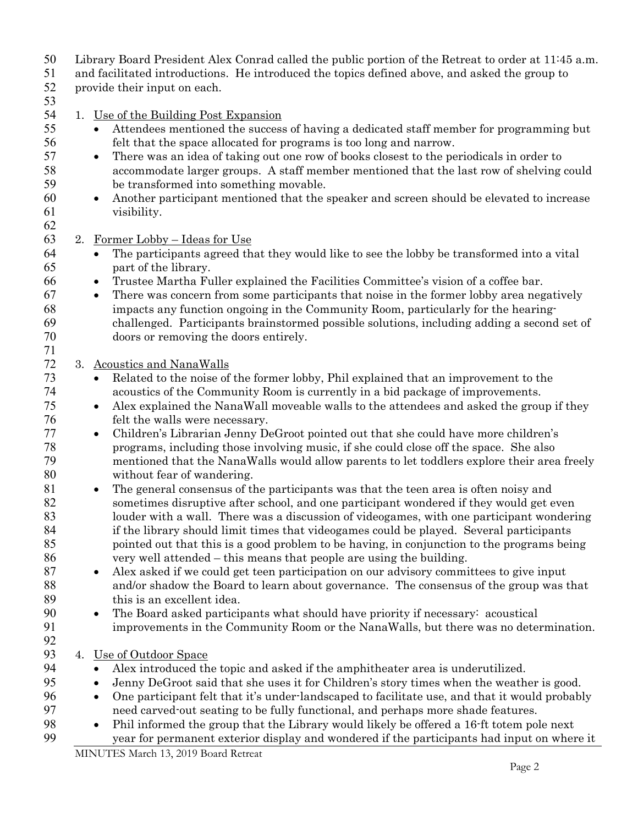Library Board President Alex Conrad called the public portion of the Retreat to order at 11:45 a.m.

and facilitated introductions. He introduced the topics defined above, and asked the group to

provide their input on each.

#### 

- 1. Use of the Building Post Expansion
- **•** Attendees mentioned the success of having a dedicated staff member for programming but felt that the space allocated for programs is too long and narrow.
- **•** There was an idea of taking out one row of books closest to the periodicals in order to accommodate larger groups. A staff member mentioned that the last row of shelving could be transformed into something movable.
- Another participant mentioned that the speaker and screen should be elevated to increase visibility.
- 

2. Former Lobby – Ideas for Use

- The participants agreed that they would like to see the lobby be transformed into a vital part of the library.
- Trustee Martha Fuller explained the Facilities Committee's vision of a coffee bar.
- There was concern from some participants that noise in the former lobby area negatively impacts any function ongoing in the Community Room, particularly for the hearing-challenged. Participants brainstormed possible solutions, including adding a second set of doors or removing the doors entirely.

## 3. Acoustics and NanaWalls

- Related to the noise of the former lobby, Phil explained that an improvement to the acoustics of the Community Room is currently in a bid package of improvements.
- Alex explained the NanaWall moveable walls to the attendees and asked the group if they felt the walls were necessary.
- Children's Librarian Jenny DeGroot pointed out that she could have more children's programs, including those involving music, if she could close off the space. She also mentioned that the NanaWalls would allow parents to let toddlers explore their area freely without fear of wandering.
- The general consensus of the participants was that the teen area is often noisy and sometimes disruptive after school, and one participant wondered if they would get even louder with a wall. There was a discussion of videogames, with one participant wondering if the library should limit times that videogames could be played. Several participants pointed out that this is a good problem to be having, in conjunction to the programs being very well attended – this means that people are using the building.
- 87 Alex asked if we could get teen participation on our advisory committees to give input and/or shadow the Board to learn about governance. The consensus of the group was that this is an excellent idea.
- The Board asked participants what should have priority if necessary: acoustical improvements in the Community Room or the NanaWalls, but there was no determination.
- 4. Use of Outdoor Space
- Alex introduced the topic and asked if the amphitheater area is underutilized.
- 95 Jenny DeGroot said that she uses it for Children's story times when the weather is good.
- One participant felt that it's under-landscaped to facilitate use, and that it would probably need carved-out seating to be fully functional, and perhaps more shade features.
- Phil informed the group that the Library would likely be offered a 16-ft totem pole next year for permanent exterior display and wondered if the participants had input on where it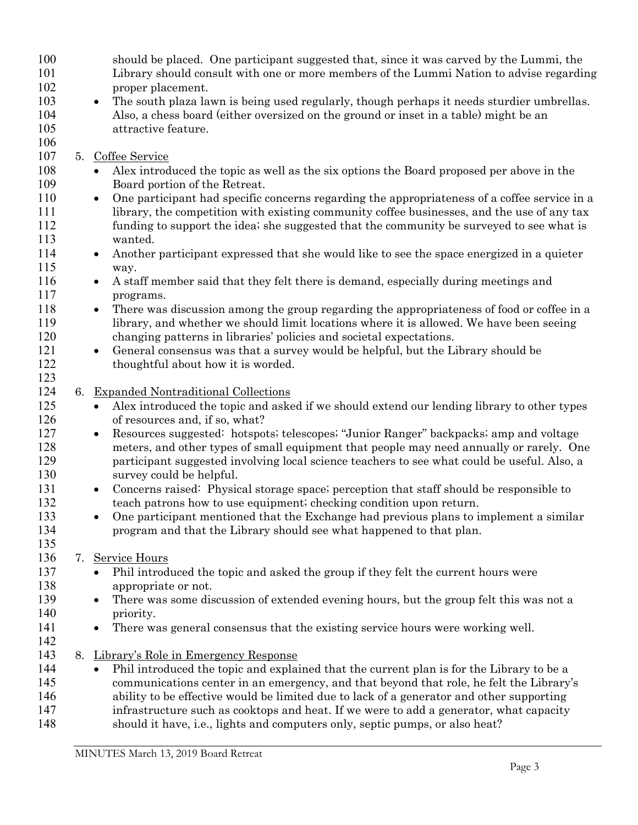| 100 |    | should be placed. One participant suggested that, since it was carved by the Lummi, the                   |
|-----|----|-----------------------------------------------------------------------------------------------------------|
| 101 |    | Library should consult with one or more members of the Lummi Nation to advise regarding                   |
| 102 |    | proper placement.                                                                                         |
| 103 |    | The south plaza lawn is being used regularly, though perhaps it needs sturdier umbrellas.<br>$\bullet$    |
| 104 |    | Also, a chess board (either oversized on the ground or inset in a table) might be an                      |
| 105 |    | attractive feature.                                                                                       |
| 106 |    |                                                                                                           |
| 107 |    | 5. Coffee Service                                                                                         |
| 108 |    | Alex introduced the topic as well as the six options the Board proposed per above in the                  |
| 109 |    | Board portion of the Retreat.                                                                             |
| 110 |    | One participant had specific concerns regarding the appropriateness of a coffee service in a<br>$\bullet$ |
| 111 |    | library, the competition with existing community coffee businesses, and the use of any tax                |
| 112 |    | funding to support the idea; she suggested that the community be surveyed to see what is                  |
| 113 |    | wanted.                                                                                                   |
| 114 |    | Another participant expressed that she would like to see the space energized in a quieter<br>$\bullet$    |
| 115 |    | way.                                                                                                      |
| 116 |    | A staff member said that they felt there is demand, especially during meetings and<br>$\bullet$           |
| 117 |    | programs.                                                                                                 |
| 118 |    | There was discussion among the group regarding the appropriateness of food or coffee in a<br>$\bullet$    |
| 119 |    | library, and whether we should limit locations where it is allowed. We have been seeing                   |
| 120 |    | changing patterns in libraries' policies and societal expectations.                                       |
| 121 |    | General consensus was that a survey would be helpful, but the Library should be<br>$\bullet$              |
| 122 |    | thoughtful about how it is worded.                                                                        |
| 123 |    |                                                                                                           |
| 124 | 6. | <b>Expanded Nontraditional Collections</b>                                                                |
| 125 |    | Alex introduced the topic and asked if we should extend our lending library to other types<br>$\bullet$   |
| 126 |    | of resources and, if so, what?                                                                            |
| 127 |    | Resources suggested: hotspots; telescopes; "Junior Ranger" backpacks; amp and voltage<br>$\bullet$        |
| 128 |    | meters, and other types of small equipment that people may need annually or rarely. One                   |
| 129 |    | participant suggested involving local science teachers to see what could be useful. Also, a               |
| 130 |    | survey could be helpful.                                                                                  |
| 131 |    | Concerns raised: Physical storage space; perception that staff should be responsible to<br>$\bullet$      |
| 132 |    | teach patrons how to use equipment; checking condition upon return.                                       |
| 133 |    | One participant mentioned that the Exchange had previous plans to implement a similar                     |
| 134 |    | ٠<br>program and that the Library should see what happened to that plan.                                  |
| 135 |    |                                                                                                           |
| 136 |    | 7. Service Hours                                                                                          |
|     |    |                                                                                                           |
| 137 |    | Phil introduced the topic and asked the group if they felt the current hours were<br>$\bullet$            |
| 138 |    | appropriate or not.                                                                                       |
| 139 |    | There was some discussion of extended evening hours, but the group felt this was not a<br>$\bullet$       |
| 140 |    | priority.                                                                                                 |
| 141 |    | There was general consensus that the existing service hours were working well.<br>$\bullet$               |
| 142 |    |                                                                                                           |
| 143 |    | 8. Library's Role in Emergency Response                                                                   |
| 144 |    | Phil introduced the topic and explained that the current plan is for the Library to be a<br>$\bullet$     |
| 145 |    | communications center in an emergency, and that beyond that role, he felt the Library's                   |
| 146 |    | ability to be effective would be limited due to lack of a generator and other supporting                  |
| 147 |    | infrastructure such as cooktops and heat. If we were to add a generator, what capacity                    |
| 148 |    | should it have, i.e., lights and computers only, septic pumps, or also heat?                              |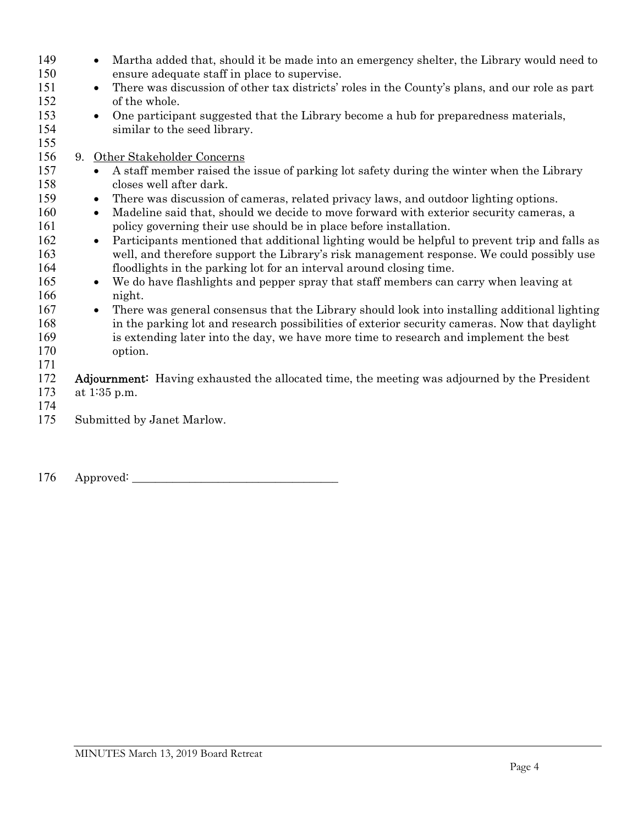| 149<br>150<br>151<br>152<br>153<br>154 | Martha added that, should it be made into an emergency shelter, the Library would need to<br>$\bullet$<br>ensure adequate staff in place to supervise.<br>There was discussion of other tax districts' roles in the County's plans, and our role as part<br>$\bullet$<br>of the whole.<br>One participant suggested that the Library become a hub for preparedness materials,<br>$\bullet$<br>similar to the seed library. |
|----------------------------------------|----------------------------------------------------------------------------------------------------------------------------------------------------------------------------------------------------------------------------------------------------------------------------------------------------------------------------------------------------------------------------------------------------------------------------|
| 155                                    |                                                                                                                                                                                                                                                                                                                                                                                                                            |
| 156                                    | 9. Other Stakeholder Concerns                                                                                                                                                                                                                                                                                                                                                                                              |
| 157<br>158                             | A staff member raised the issue of parking lot safety during the winter when the Library<br>$\bullet$<br>closes well after dark.                                                                                                                                                                                                                                                                                           |
| 159                                    | There was discussion of cameras, related privacy laws, and outdoor lighting options.<br>$\bullet$                                                                                                                                                                                                                                                                                                                          |
| 160                                    | Madeline said that, should we decide to move forward with exterior security cameras, a<br>$\bullet$                                                                                                                                                                                                                                                                                                                        |
| 161                                    | policy governing their use should be in place before installation.                                                                                                                                                                                                                                                                                                                                                         |
| 162                                    | Participants mentioned that additional lighting would be helpful to prevent trip and falls as<br>$\bullet$                                                                                                                                                                                                                                                                                                                 |
| 163                                    | well, and therefore support the Library's risk management response. We could possibly use                                                                                                                                                                                                                                                                                                                                  |
| 164                                    | floodlights in the parking lot for an interval around closing time.                                                                                                                                                                                                                                                                                                                                                        |
| 165<br>166                             | We do have flashlights and pepper spray that staff members can carry when leaving at<br>$\bullet$<br>night.                                                                                                                                                                                                                                                                                                                |
| 167                                    | There was general consensus that the Library should look into installing additional lighting<br>$\bullet$                                                                                                                                                                                                                                                                                                                  |
| 168                                    | in the parking lot and research possibilities of exterior security cameras. Now that daylight                                                                                                                                                                                                                                                                                                                              |
| 169                                    | is extending later into the day, we have more time to research and implement the best                                                                                                                                                                                                                                                                                                                                      |
| 170                                    | option.                                                                                                                                                                                                                                                                                                                                                                                                                    |
| 171                                    |                                                                                                                                                                                                                                                                                                                                                                                                                            |
| 172                                    | <b>Adjournment:</b> Having exhausted the allocated time, the meeting was adjourned by the President                                                                                                                                                                                                                                                                                                                        |
| 173                                    | at $1:35$ p.m.                                                                                                                                                                                                                                                                                                                                                                                                             |
| 174                                    |                                                                                                                                                                                                                                                                                                                                                                                                                            |
| 175                                    | Submitted by Janet Marlow.                                                                                                                                                                                                                                                                                                                                                                                                 |

Approved: \_\_\_\_\_\_\_\_\_\_\_\_\_\_\_\_\_\_\_\_\_\_\_\_\_\_\_\_\_\_\_\_\_\_\_\_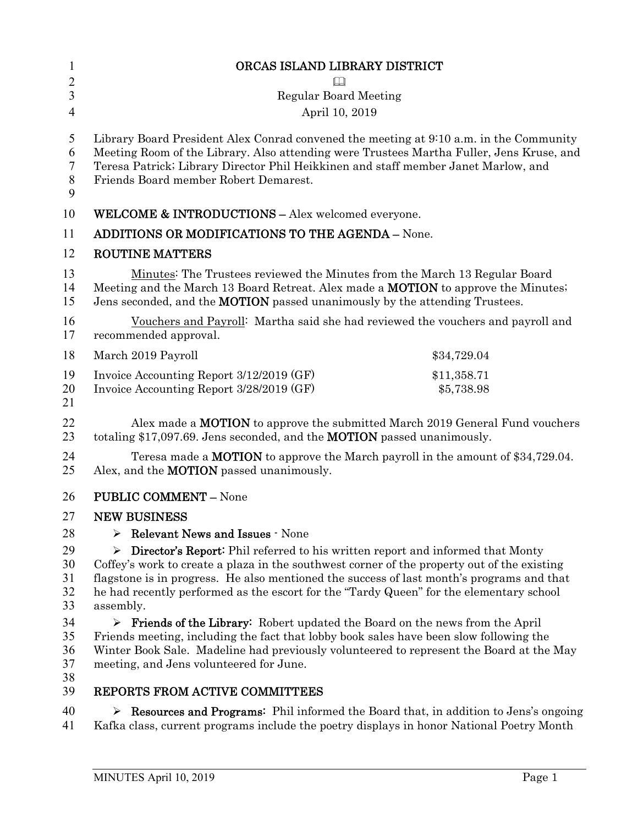| 1              | ORCAS ISLAND LIBRARY DISTRICT                                                                                                                                         |             |
|----------------|-----------------------------------------------------------------------------------------------------------------------------------------------------------------------|-------------|
| $\overline{2}$ |                                                                                                                                                                       |             |
| 3              | <b>Regular Board Meeting</b>                                                                                                                                          |             |
| $\overline{4}$ | April 10, 2019                                                                                                                                                        |             |
| 5              | Library Board President Alex Conrad convened the meeting at 9:10 a.m. in the Community                                                                                |             |
| 6              | Meeting Room of the Library. Also attending were Trustees Martha Fuller, Jens Kruse, and                                                                              |             |
| 7              | Teresa Patrick; Library Director Phil Heikkinen and staff member Janet Marlow, and                                                                                    |             |
| 8<br>9         | Friends Board member Robert Demarest.                                                                                                                                 |             |
| 10             | <b>WELCOME &amp; INTRODUCTIONS - Alex welcomed everyone.</b>                                                                                                          |             |
| 11             | <b>ADDITIONS OR MODIFICATIONS TO THE AGENDA - None.</b>                                                                                                               |             |
| 12             | <b>ROUTINE MATTERS</b>                                                                                                                                                |             |
| 13             | Minutes: The Trustees reviewed the Minutes from the March 13 Regular Board                                                                                            |             |
| 14             | Meeting and the March 13 Board Retreat. Alex made a <b>MOTION</b> to approve the Minutes;                                                                             |             |
| 15             | Jens seconded, and the <b>MOTION</b> passed unanimously by the attending Trustees.                                                                                    |             |
| 16<br>17       | Vouchers and Payroll: Martha said she had reviewed the vouchers and payroll and<br>recommended approval.                                                              |             |
| 18             | March 2019 Payroll                                                                                                                                                    | \$34,729.04 |
| 19             | Invoice Accounting Report 3/12/2019 (GF)                                                                                                                              | \$11,358.71 |
| 20             | Invoice Accounting Report 3/28/2019 (GF)                                                                                                                              | \$5,738.98  |
| 21             |                                                                                                                                                                       |             |
| 22<br>23       | Alex made a <b>MOTION</b> to approve the submitted March 2019 General Fund vouchers<br>totaling \$17,097.69. Jens seconded, and the <b>MOTION</b> passed unanimously. |             |
| 24             | Teresa made a <b>MOTION</b> to approve the March payroll in the amount of \$34,729.04.                                                                                |             |
| 25             | Alex, and the <b>MOTION</b> passed unanimously.                                                                                                                       |             |
| 26             | <b>PUBLIC COMMENT - None</b>                                                                                                                                          |             |
| 27             | <b>NEW BUSINESS</b>                                                                                                                                                   |             |
| 28             | Relevant News and Issues - None                                                                                                                                       |             |
| 29             | Director's Report: Phil referred to his written report and informed that Monty<br>➤                                                                                   |             |
| 30             | Coffey's work to create a plaza in the southwest corner of the property out of the existing                                                                           |             |
| 31             | flagstone is in progress. He also mentioned the success of last month's programs and that                                                                             |             |
| 32<br>33       | he had recently performed as the escort for the "Tardy Queen" for the elementary school<br>assembly.                                                                  |             |
| 34             | $\triangleright$ Friends of the Library: Robert updated the Board on the news from the April                                                                          |             |
| 35             | Friends meeting, including the fact that lobby book sales have been slow following the                                                                                |             |
| 36             | Winter Book Sale. Madeline had previously volunteered to represent the Board at the May                                                                               |             |
| 37             | meeting, and Jens volunteered for June.                                                                                                                               |             |
| 38<br>39       | REPORTS FROM ACTIVE COMMITTEES                                                                                                                                        |             |
| 40             | Example 2. Resources and Programs: Phil informed the Board that, in addition to Jens's ongoing                                                                        |             |
| 41             | Kafka class, current programs include the poetry displays in honor National Poetry Month                                                                              |             |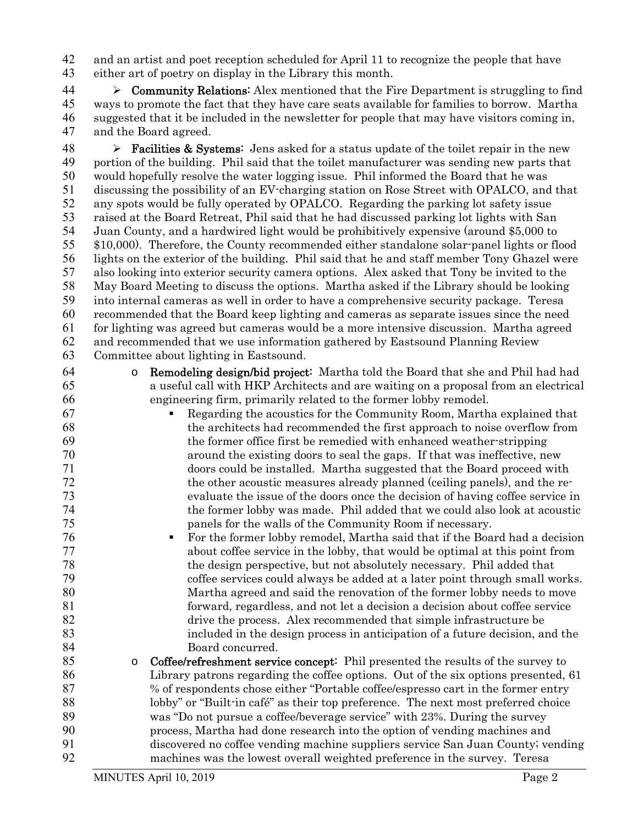and an artist and poet reception scheduled for April 11 to recognize the people that have either art of poetry on display in the Library this month.

 $\triangleright$  Community Relations: Alex mentioned that the Fire Department is struggling to find ways to promote the fact that they have care seats available for families to borrow. Martha suggested that it be included in the newsletter for people that may have visitors coming in, and the Board agreed.

**Facilities & Systems:** Jens asked for a status update of the toilet repair in the new portion of the building. Phil said that the toilet manufacturer was sending new parts that would hopefully resolve the water logging issue. Phil informed the Board that he was discussing the possibility of an EV-charging station on Rose Street with OPALCO, and that any spots would be fully operated by OPALCO. Regarding the parking lot safety issue raised at the Board Retreat, Phil said that he had discussed parking lot lights with San Juan County, and a hardwired light would be prohibitively expensive (around \$5,000 to \$10,000). Therefore, the County recommended either standalone solar-panel lights or flood lights on the exterior of the building. Phil said that he and staff member Tony Ghazel were also looking into exterior security camera options. Alex asked that Tony be invited to the May Board Meeting to discuss the options. Martha asked if the Library should be looking into internal cameras as well in order to have a comprehensive security package. Teresa recommended that the Board keep lighting and cameras as separate issues since the need for lighting was agreed but cameras would be a more intensive discussion. Martha agreed and recommended that we use information gathered by Eastsound Planning Review Committee about lighting in Eastsound.

o Remodeling design/bid project: Martha told the Board that she and Phil had had a useful call with HKP Architects and are waiting on a proposal from an electrical engineering firm, primarily related to the former lobby remodel.

 Regarding the acoustics for the Community Room, Martha explained that the architects had recommended the first approach to noise overflow from the former office first be remedied with enhanced weather-stripping around the existing doors to seal the gaps. If that was ineffective, new doors could be installed. Martha suggested that the Board proceed with the other acoustic measures already planned (ceiling panels), and the re-evaluate the issue of the doors once the decision of having coffee service in the former lobby was made. Phil added that we could also look at acoustic panels for the walls of the Community Room if necessary.

 For the former lobby remodel, Martha said that if the Board had a decision about coffee service in the lobby, that would be optimal at this point from the design perspective, but not absolutely necessary. Phil added that coffee services could always be added at a later point through small works. Martha agreed and said the renovation of the former lobby needs to move forward, regardless, and not let a decision a decision about coffee service drive the process. Alex recommended that simple infrastructure be included in the design process in anticipation of a future decision, and the 84 Board concurred.

o Coffee/refreshment service concept: Phil presented the results of the survey to Library patrons regarding the coffee options. Out of the six options presented, 61 % of respondents chose either "Portable coffee/espresso cart in the former entry lobby" or "Built-in café" as their top preference. The next most preferred choice was "Do not pursue a coffee/beverage service" with 23%. During the survey process, Martha had done research into the option of vending machines and discovered no coffee vending machine suppliers service San Juan County; vending machines was the lowest overall weighted preference in the survey. Teresa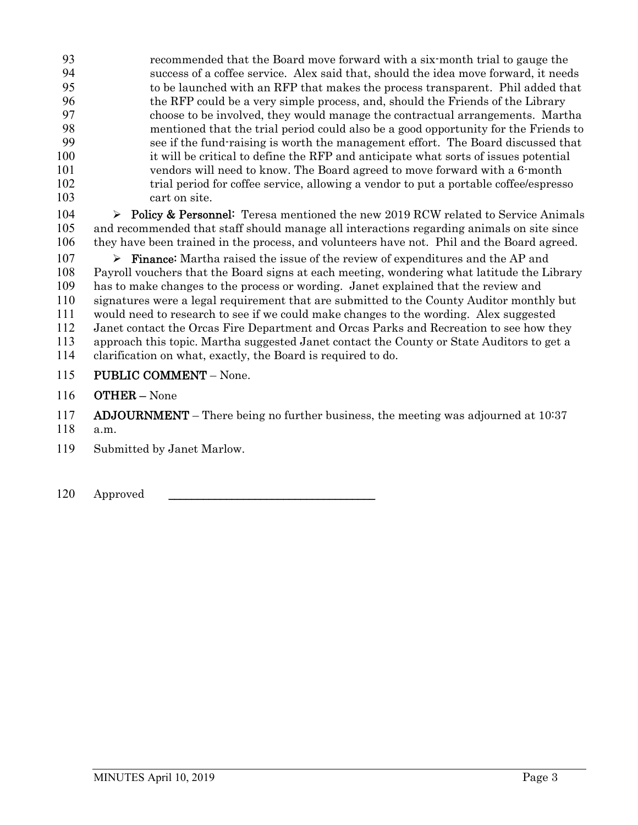recommended that the Board move forward with a six-month trial to gauge the success of a coffee service. Alex said that, should the idea move forward, it needs to be launched with an RFP that makes the process transparent. Phil added that the RFP could be a very simple process, and, should the Friends of the Library choose to be involved, they would manage the contractual arrangements. Martha mentioned that the trial period could also be a good opportunity for the Friends to see if the fund-raising is worth the management effort. The Board discussed that it will be critical to define the RFP and anticipate what sorts of issues potential vendors will need to know. The Board agreed to move forward with a 6-month trial period for coffee service, allowing a vendor to put a portable coffee/espresso cart on site.

104  $\triangleright$  Policy & Personnel: Teresa mentioned the new 2019 RCW related to Service Animals and recommended that staff should manage all interactions regarding animals on site since they have been trained in the process, and volunteers have not. Phil and the Board agreed.

 $\triangleright$  **Finance:** Martha raised the issue of the review of expenditures and the AP and Payroll vouchers that the Board signs at each meeting, wondering what latitude the Library has to make changes to the process or wording. Janet explained that the review and signatures were a legal requirement that are submitted to the County Auditor monthly but would need to research to see if we could make changes to the wording. Alex suggested Janet contact the Orcas Fire Department and Orcas Parks and Recreation to see how they approach this topic. Martha suggested Janet contact the County or State Auditors to get a clarification on what, exactly, the Board is required to do.

PUBLIC COMMENT – None.

OTHER – None

**ADJOURNMENT** – There being no further business, the meeting was adjourned at 10:37

- a.m.
- Submitted by Janet Marlow.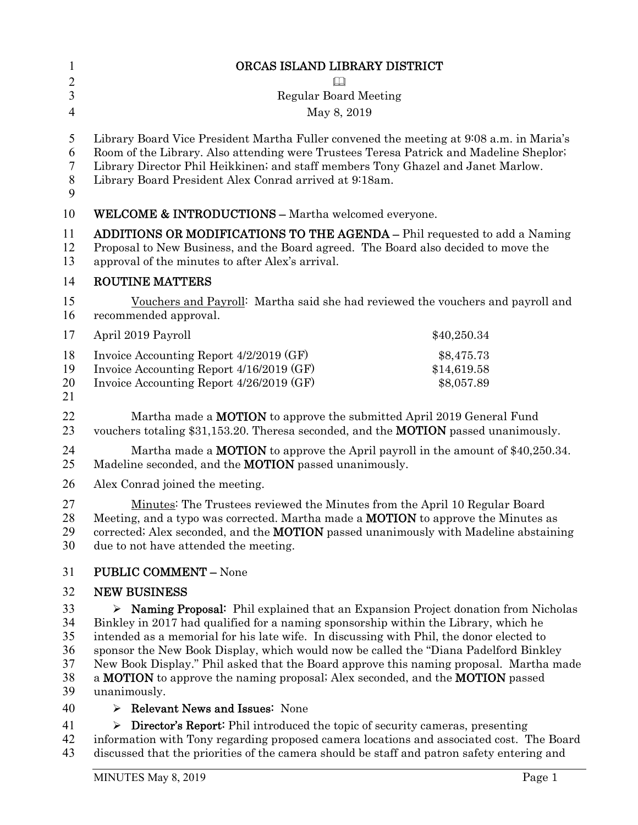| $\mathbf{1}$          | ORCAS ISLAND LIBRARY DISTRICT                                                                                                                                                                                                                                                                                                   |                                         |  |
|-----------------------|---------------------------------------------------------------------------------------------------------------------------------------------------------------------------------------------------------------------------------------------------------------------------------------------------------------------------------|-----------------------------------------|--|
| $\overline{2}$        | Ш                                                                                                                                                                                                                                                                                                                               |                                         |  |
| 3                     | <b>Regular Board Meeting</b>                                                                                                                                                                                                                                                                                                    |                                         |  |
| 4                     | May 8, 2019                                                                                                                                                                                                                                                                                                                     |                                         |  |
| 5<br>6<br>7<br>8<br>9 | Library Board Vice President Martha Fuller convened the meeting at 9:08 a.m. in Maria's<br>Room of the Library. Also attending were Trustees Teresa Patrick and Madeline Sheplor;<br>Library Director Phil Heikkinen; and staff members Tony Ghazel and Janet Marlow.<br>Library Board President Alex Conrad arrived at 9:18am. |                                         |  |
| 10                    | <b>WELCOME &amp; INTRODUCTIONS - Martha welcomed everyone.</b>                                                                                                                                                                                                                                                                  |                                         |  |
| 11<br>12<br>13        | <b>ADDITIONS OR MODIFICATIONS TO THE AGENDA - Phil requested to add a Naming</b><br>Proposal to New Business, and the Board agreed. The Board also decided to move the<br>approval of the minutes to after Alex's arrival.                                                                                                      |                                         |  |
| 14                    | <b>ROUTINE MATTERS</b>                                                                                                                                                                                                                                                                                                          |                                         |  |
| 15<br>16              | Vouchers and Payroll: Martha said she had reviewed the vouchers and payroll and<br>recommended approval.                                                                                                                                                                                                                        |                                         |  |
| 17                    | April 2019 Payroll                                                                                                                                                                                                                                                                                                              | \$40,250.34                             |  |
| 18<br>19<br>20<br>21  | Invoice Accounting Report 4/2/2019 (GF)<br>Invoice Accounting Report 4/16/2019 (GF)<br>Invoice Accounting Report 4/26/2019 (GF)                                                                                                                                                                                                 | \$8,475.73<br>\$14,619.58<br>\$8,057.89 |  |
| 22<br>23              | Martha made a <b>MOTION</b> to approve the submitted April 2019 General Fund<br>vouchers totaling \$31,153.20. Theresa seconded, and the <b>MOTION</b> passed unanimously.                                                                                                                                                      |                                         |  |
| 24<br>25              | Martha made a <b>MOTION</b> to approve the April payroll in the amount of $$40,250.34$ .<br>Madeline seconded, and the <b>MOTION</b> passed unanimously.                                                                                                                                                                        |                                         |  |
| 26                    | Alex Conrad joined the meeting.                                                                                                                                                                                                                                                                                                 |                                         |  |
| 27<br>28<br>29<br>30  | Minutes: The Trustees reviewed the Minutes from the April 10 Regular Board<br>Meeting, and a typo was corrected. Martha made a <b>MOTION</b> to approve the Minutes as<br>corrected; Alex seconded, and the <b>MOTION</b> passed unanimously with Madeline abstaining<br>due to not have attended the meeting.                  |                                         |  |
| 31                    | <b>PUBLIC COMMENT - None</b>                                                                                                                                                                                                                                                                                                    |                                         |  |
| 32                    | <b>NEW BUSINESS</b>                                                                                                                                                                                                                                                                                                             |                                         |  |
| 33                    | <b>Naming Proposal:</b> Phil explained that an Expansion Project donation from Nicholas<br>➤                                                                                                                                                                                                                                    |                                         |  |
| 34                    | Binkley in 2017 had qualified for a naming sponsorship within the Library, which he                                                                                                                                                                                                                                             |                                         |  |
| 35                    | intended as a memorial for his late wife. In discussing with Phil, the donor elected to                                                                                                                                                                                                                                         |                                         |  |
| 36<br>37              | sponsor the New Book Display, which would now be called the "Diana Padelford Binkley<br>New Book Display." Phil asked that the Board approve this naming proposal. Martha made                                                                                                                                                  |                                         |  |
| 38<br>39              | a <b>MOTION</b> to approve the naming proposal; Alex seconded, and the <b>MOTION</b> passed<br>unanimously.                                                                                                                                                                                                                     |                                         |  |
| 40                    | $\triangleright$ Relevant News and Issues: None                                                                                                                                                                                                                                                                                 |                                         |  |

41 Director's Report: Phil introduced the topic of security cameras, presenting 42 information with Tony regarding proposed camera locations and associated cost. The Board<br>43 discussed that the priorities of the camera should be staff and patron safety entering and discussed that the priorities of the camera should be staff and patron safety entering and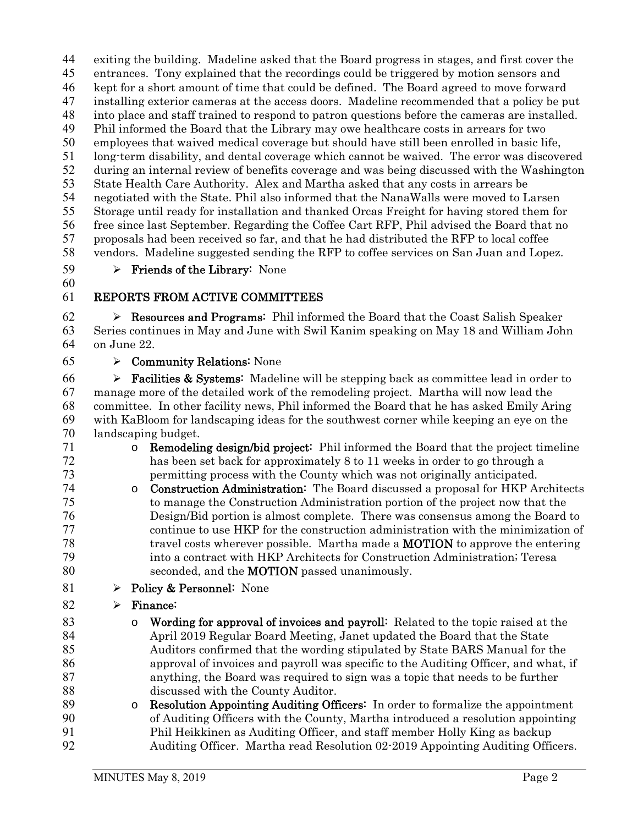exiting the building. Madeline asked that the Board progress in stages, and first cover the entrances. Tony explained that the recordings could be triggered by motion sensors and kept for a short amount of time that could be defined. The Board agreed to move forward installing exterior cameras at the access doors. Madeline recommended that a policy be put into place and staff trained to respond to patron questions before the cameras are installed. Phil informed the Board that the Library may owe healthcare costs in arrears for two employees that waived medical coverage but should have still been enrolled in basic life, long-term disability, and dental coverage which cannot be waived. The error was discovered during an internal review of benefits coverage and was being discussed with the Washington State Health Care Authority. Alex and Martha asked that any costs in arrears be negotiated with the State. Phil also informed that the NanaWalls were moved to Larsen Storage until ready for installation and thanked Orcas Freight for having stored them for free since last September. Regarding the Coffee Cart RFP, Phil advised the Board that no proposals had been received so far, and that he had distributed the RFP to local coffee vendors. Madeline suggested sending the RFP to coffee services on San Juan and Lopez.

59 > Friends of the Library: None

## REPORTS FROM ACTIVE COMMITTEES

62  $\triangleright$  **Resources and Programs:** Phil informed the Board that the Coast Salish Speaker Series continues in May and June with Swil Kanim speaking on May 18 and William John on June 22.

 $65 \rightarrow$  Community Relations: None

**Facilities & Systems:** Madeline will be stepping back as committee lead in order to manage more of the detailed work of the remodeling project. Martha will now lead the committee. In other facility news, Phil informed the Board that he has asked Emily Aring with KaBloom for landscaping ideas for the southwest corner while keeping an eye on the landscaping budget.

- o Remodeling design/bid project: Phil informed the Board that the project timeline has been set back for approximately 8 to 11 weeks in order to go through a permitting process with the County which was not originally anticipated.
- o Construction Administration: The Board discussed a proposal for HKP Architects to manage the Construction Administration portion of the project now that the Design/Bid portion is almost complete. There was consensus among the Board to continue to use HKP for the construction administration with the minimization of travel costs wherever possible. Martha made a MOTION to approve the entering into a contract with HKP Architects for Construction Administration; Teresa 80 seconded, and the **MOTION** passed unanimously.
- 81  $\rightarrow$  Policy & Personnel: None

## 82  $\triangleright$  Finance:

- **o** Wording for approval of invoices and payroll: Related to the topic raised at the April 2019 Regular Board Meeting, Janet updated the Board that the State Auditors confirmed that the wording stipulated by State BARS Manual for the approval of invoices and payroll was specific to the Auditing Officer, and what, if anything, the Board was required to sign was a topic that needs to be further 88 discussed with the County Auditor.
- **Resolution Appointing Auditing Officers:** In order to formalize the appointment of Auditing Officers with the County, Martha introduced a resolution appointing Phil Heikkinen as Auditing Officer, and staff member Holly King as backup Auditing Officer. Martha read Resolution 02-2019 Appointing Auditing Officers.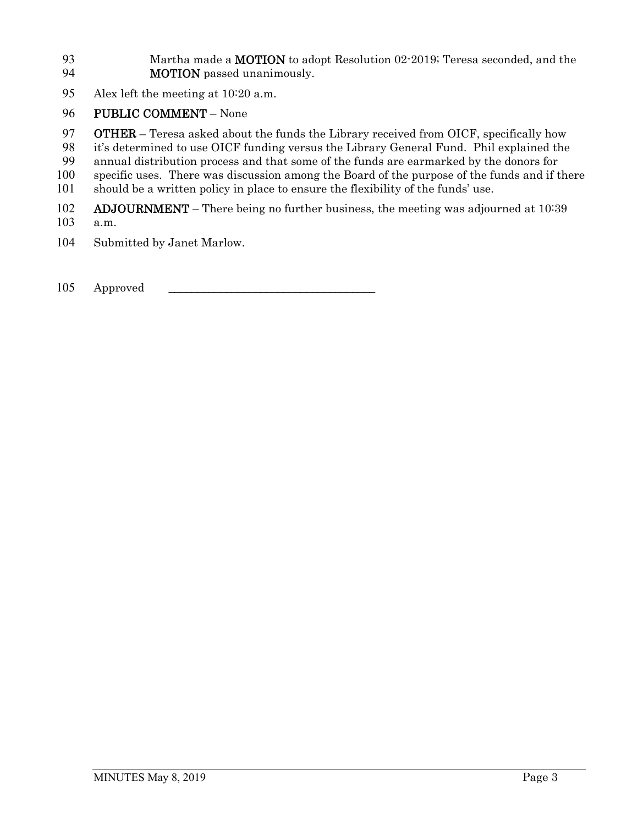93 Martha made a **MOTION** to adopt Resolution 02-2019; Teresa seconded, and the **MOTION** passed unanimously.

Alex left the meeting at 10:20 a.m.

## PUBLIC COMMENT – None

**OTHER** – Teresa asked about the funds the Library received from OICF, specifically how

- it's determined to use OICF funding versus the Library General Fund. Phil explained the
- annual distribution process and that some of the funds are earmarked by the donors for
- specific uses. There was discussion among the Board of the purpose of the funds and if there
- should be a written policy in place to ensure the flexibility of the funds' use.
- 102 ADJOURNMENT There being no further business, the meeting was adjourned at 10:39
- a.m.
- Submitted by Janet Marlow.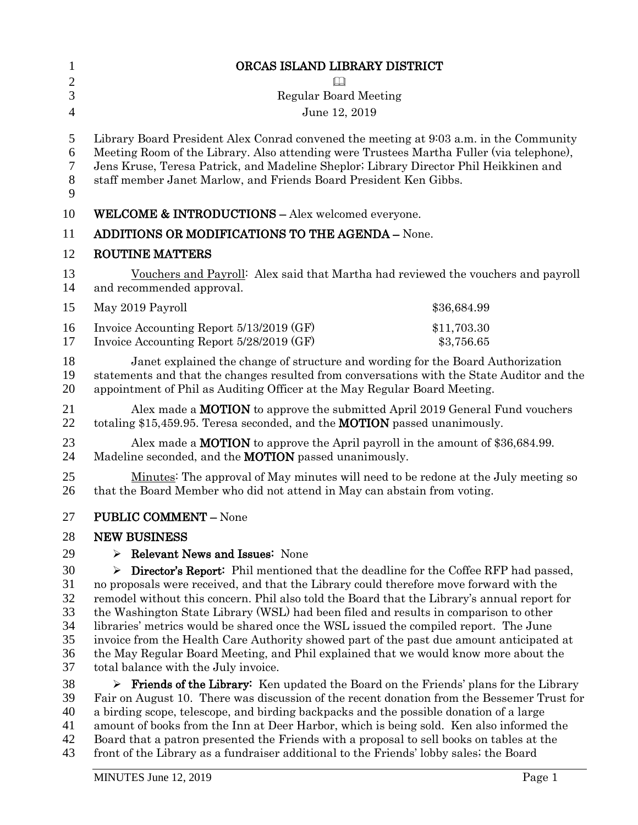| $\mathbf{1}$          | ORCAS ISLAND LIBRARY DISTRICT                                                                                                                                                                                                                                                                                                                    |                           |  |
|-----------------------|--------------------------------------------------------------------------------------------------------------------------------------------------------------------------------------------------------------------------------------------------------------------------------------------------------------------------------------------------|---------------------------|--|
| $\overline{2}$        |                                                                                                                                                                                                                                                                                                                                                  |                           |  |
| 3                     | <b>Regular Board Meeting</b>                                                                                                                                                                                                                                                                                                                     |                           |  |
| $\overline{4}$        | June 12, 2019                                                                                                                                                                                                                                                                                                                                    |                           |  |
| 5<br>6<br>7<br>8<br>9 | Library Board President Alex Conrad convened the meeting at 9:03 a.m. in the Community<br>Meeting Room of the Library. Also attending were Trustees Martha Fuller (via telephone),<br>Jens Kruse, Teresa Patrick, and Madeline Sheplor; Library Director Phil Heikkinen and<br>staff member Janet Marlow, and Friends Board President Ken Gibbs. |                           |  |
| 10                    | <b>WELCOME &amp; INTRODUCTIONS - Alex welcomed everyone.</b>                                                                                                                                                                                                                                                                                     |                           |  |
| 11                    | <b>ADDITIONS OR MODIFICATIONS TO THE AGENDA - None.</b>                                                                                                                                                                                                                                                                                          |                           |  |
| 12                    | <b>ROUTINE MATTERS</b>                                                                                                                                                                                                                                                                                                                           |                           |  |
| 13<br>14              | Vouchers and Payroll: Alex said that Martha had reviewed the vouchers and payroll<br>and recommended approval.                                                                                                                                                                                                                                   |                           |  |
| 15                    | May 2019 Payroll                                                                                                                                                                                                                                                                                                                                 | \$36,684.99               |  |
| 16<br>17              | Invoice Accounting Report 5/13/2019 (GF)<br>Invoice Accounting Report 5/28/2019 (GF)                                                                                                                                                                                                                                                             | \$11,703.30<br>\$3,756.65 |  |
| 18<br>19<br>20        | Janet explained the change of structure and wording for the Board Authorization<br>statements and that the changes resulted from conversations with the State Auditor and the<br>appointment of Phil as Auditing Officer at the May Regular Board Meeting.                                                                                       |                           |  |
| 21<br>22              | Alex made a <b>MOTION</b> to approve the submitted April 2019 General Fund vouchers<br>totaling \$15,459.95. Teresa seconded, and the MOTION passed unanimously.                                                                                                                                                                                 |                           |  |
| 23<br>24              | Alex made a <b>MOTION</b> to approve the April payroll in the amount of \$36,684.99.<br>Madeline seconded, and the <b>MOTION</b> passed unanimously.                                                                                                                                                                                             |                           |  |
| 25<br>26              | Minutes: The approval of May minutes will need to be redone at the July meeting so<br>that the Board Member who did not attend in May can abstain from voting.                                                                                                                                                                                   |                           |  |
| 27                    | <b>PUBLIC COMMENT - None</b>                                                                                                                                                                                                                                                                                                                     |                           |  |
| 28                    | <b>NEW BUSINESS</b>                                                                                                                                                                                                                                                                                                                              |                           |  |
| 29                    | <b>Relevant News and Issues: None</b><br>➤                                                                                                                                                                                                                                                                                                       |                           |  |
| 30                    | <b>Director's Report:</b> Phil mentioned that the deadline for the Coffee RFP had passed,<br>➤                                                                                                                                                                                                                                                   |                           |  |
| 31                    | no proposals were received, and that the Library could therefore move forward with the                                                                                                                                                                                                                                                           |                           |  |
| 32                    | remodel without this concern. Phil also told the Board that the Library's annual report for                                                                                                                                                                                                                                                      |                           |  |
| 33                    | the Washington State Library (WSL) had been filed and results in comparison to other                                                                                                                                                                                                                                                             |                           |  |
| 34                    | libraries' metrics would be shared once the WSL issued the compiled report. The June                                                                                                                                                                                                                                                             |                           |  |
| 35                    | invoice from the Health Care Authority showed part of the past due amount anticipated at                                                                                                                                                                                                                                                         |                           |  |
| 36<br>37              | the May Regular Board Meeting, and Phil explained that we would know more about the<br>total balance with the July invoice.                                                                                                                                                                                                                      |                           |  |
| 38                    | $\triangleright$ Friends of the Library: Ken updated the Board on the Friends' plans for the Library                                                                                                                                                                                                                                             |                           |  |
| 39                    | Fair on August 10. There was discussion of the recent donation from the Bessemer Trust for                                                                                                                                                                                                                                                       |                           |  |
| 40                    | a birding scope, telescope, and birding backpacks and the possible donation of a large                                                                                                                                                                                                                                                           |                           |  |
| 41                    | amount of books from the Inn at Deer Harbor, which is being sold. Ken also informed the                                                                                                                                                                                                                                                          |                           |  |
| 42                    | Board that a patron presented the Friends with a proposal to sell books on tables at the                                                                                                                                                                                                                                                         |                           |  |

43 front of the Library as a fundraiser additional to the Friends' lobby sales; the Board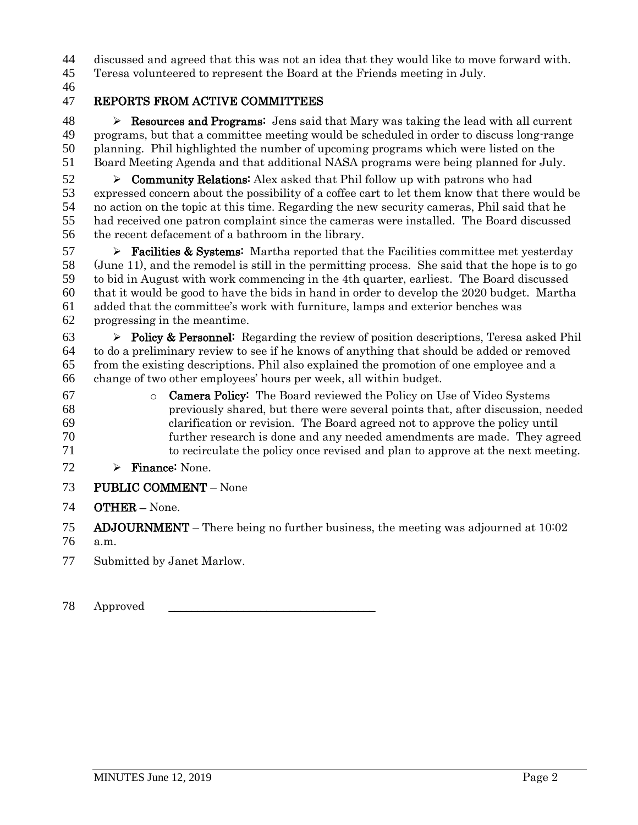discussed and agreed that this was not an idea that they would like to move forward with.

Teresa volunteered to represent the Board at the Friends meeting in July.

### REPORTS FROM ACTIVE COMMITTEES

48 Resources and Programs: Jens said that Mary was taking the lead with all current programs, but that a committee meeting would be scheduled in order to discuss long-range planning. Phil highlighted the number of upcoming programs which were listed on the Board Meeting Agenda and that additional NASA programs were being planned for July.

 $52 \rightarrow$  Community Relations: Alex asked that Phil follow up with patrons who had expressed concern about the possibility of a coffee cart to let them know that there would be no action on the topic at this time. Regarding the new security cameras, Phil said that he had received one patron complaint since the cameras were installed. The Board discussed the recent defacement of a bathroom in the library.

 $57 \rightarrow$  **Facilities & Systems:** Martha reported that the Facilities committee met yesterday (June 11), and the remodel is still in the permitting process. She said that the hope is to go to bid in August with work commencing in the 4th quarter, earliest. The Board discussed that it would be good to have the bids in hand in order to develop the 2020 budget. Martha added that the committee's work with furniture, lamps and exterior benches was progressing in the meantime.

63 Policy & Personnel: Regarding the review of position descriptions, Teresa asked Phil to do a preliminary review to see if he knows of anything that should be added or removed from the existing descriptions. Phil also explained the promotion of one employee and a change of two other employees' hours per week, all within budget.

- o Camera Policy: The Board reviewed the Policy on Use of Video Systems previously shared, but there were several points that, after discussion, needed clarification or revision. The Board agreed not to approve the policy until further research is done and any needed amendments are made. They agreed to recirculate the policy once revised and plan to approve at the next meeting.
- 72  $\triangleright$  Finance: None.
- PUBLIC COMMENT None
- OTHER None.

ADJOURNMENT – There being no further business, the meeting was adjourned at 10:02

- a.m.
- Submitted by Janet Marlow.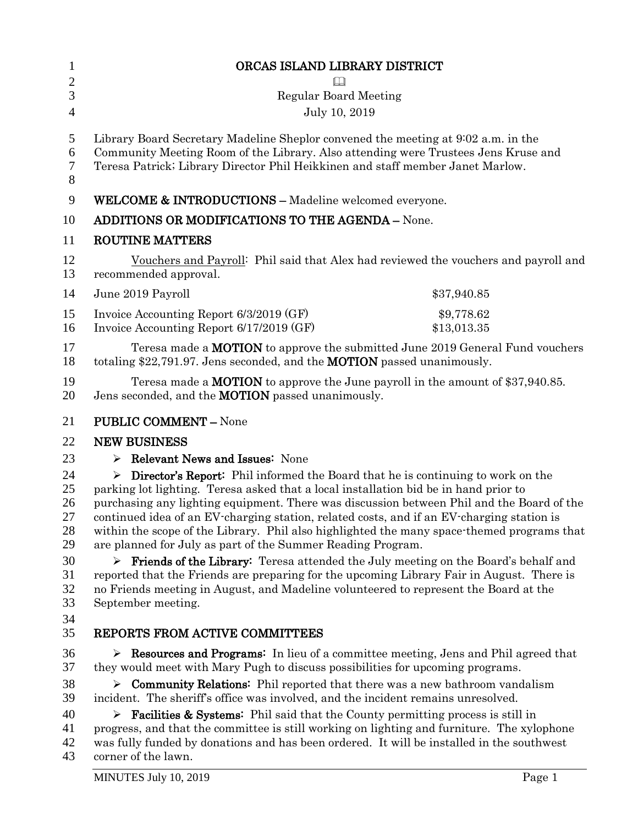| $\mathbf{1}$                                             | ORCAS ISLAND LIBRARY DISTRICT                                                                                                                                                                                                                                                                                                                                                                                                                                                                                                                                                                                                                                                                                                                                                                                                                           |  |  |
|----------------------------------------------------------|---------------------------------------------------------------------------------------------------------------------------------------------------------------------------------------------------------------------------------------------------------------------------------------------------------------------------------------------------------------------------------------------------------------------------------------------------------------------------------------------------------------------------------------------------------------------------------------------------------------------------------------------------------------------------------------------------------------------------------------------------------------------------------------------------------------------------------------------------------|--|--|
| $\overline{2}$                                           | $\Box$                                                                                                                                                                                                                                                                                                                                                                                                                                                                                                                                                                                                                                                                                                                                                                                                                                                  |  |  |
| 3                                                        | <b>Regular Board Meeting</b>                                                                                                                                                                                                                                                                                                                                                                                                                                                                                                                                                                                                                                                                                                                                                                                                                            |  |  |
| $\overline{4}$                                           | July 10, 2019                                                                                                                                                                                                                                                                                                                                                                                                                                                                                                                                                                                                                                                                                                                                                                                                                                           |  |  |
| 5<br>6<br>7<br>8                                         | Library Board Secretary Madeline Sheplor convened the meeting at 902 a.m. in the<br>Community Meeting Room of the Library. Also attending were Trustees Jens Kruse and<br>Teresa Patrick; Library Director Phil Heikkinen and staff member Janet Marlow.                                                                                                                                                                                                                                                                                                                                                                                                                                                                                                                                                                                                |  |  |
| 9                                                        | <b>WELCOME &amp; INTRODUCTIONS - Madeline welcomed everyone.</b>                                                                                                                                                                                                                                                                                                                                                                                                                                                                                                                                                                                                                                                                                                                                                                                        |  |  |
| 10                                                       | <b>ADDITIONS OR MODIFICATIONS TO THE AGENDA - None.</b>                                                                                                                                                                                                                                                                                                                                                                                                                                                                                                                                                                                                                                                                                                                                                                                                 |  |  |
| 11                                                       | <b>ROUTINE MATTERS</b>                                                                                                                                                                                                                                                                                                                                                                                                                                                                                                                                                                                                                                                                                                                                                                                                                                  |  |  |
| 12<br>13                                                 | Vouchers and Payroll: Phil said that Alex had reviewed the vouchers and payroll and<br>recommended approval.                                                                                                                                                                                                                                                                                                                                                                                                                                                                                                                                                                                                                                                                                                                                            |  |  |
| 14                                                       | June 2019 Payroll<br>\$37,940.85                                                                                                                                                                                                                                                                                                                                                                                                                                                                                                                                                                                                                                                                                                                                                                                                                        |  |  |
| 15<br>16                                                 | Invoice Accounting Report 6/3/2019 (GF)<br>\$9,778.62<br>Invoice Accounting Report 6/17/2019 (GF)<br>\$13,013.35                                                                                                                                                                                                                                                                                                                                                                                                                                                                                                                                                                                                                                                                                                                                        |  |  |
| 17<br>18                                                 | Teresa made a <b>MOTION</b> to approve the submitted June 2019 General Fund vouchers<br>totaling \$22,791.97. Jens seconded, and the <b>MOTION</b> passed unanimously.                                                                                                                                                                                                                                                                                                                                                                                                                                                                                                                                                                                                                                                                                  |  |  |
| 19<br>20                                                 | Teresa made a <b>MOTION</b> to approve the June payroll in the amount of $$37,940.85$ .<br>Jens seconded, and the <b>MOTION</b> passed unanimously.                                                                                                                                                                                                                                                                                                                                                                                                                                                                                                                                                                                                                                                                                                     |  |  |
| 21                                                       | <b>PUBLIC COMMENT - None</b>                                                                                                                                                                                                                                                                                                                                                                                                                                                                                                                                                                                                                                                                                                                                                                                                                            |  |  |
| 22                                                       | <b>NEW BUSINESS</b>                                                                                                                                                                                                                                                                                                                                                                                                                                                                                                                                                                                                                                                                                                                                                                                                                                     |  |  |
| 23                                                       | $\triangleright$ Relevant News and Issues: None                                                                                                                                                                                                                                                                                                                                                                                                                                                                                                                                                                                                                                                                                                                                                                                                         |  |  |
| 24<br>25<br>26<br>27<br>28<br>29<br>30<br>31<br>32<br>33 | $\triangleright$ Director's Report: Phil informed the Board that he is continuing to work on the<br>parking lot lighting. Teresa asked that a local installation bid be in hand prior to<br>purchasing any lighting equipment. There was discussion between Phil and the Board of the<br>continued idea of an EV-charging station, related costs, and if an EV-charging station is<br>within the scope of the Library. Phil also highlighted the many space-themed programs that<br>are planned for July as part of the Summer Reading Program.<br><b>Friends of the Library:</b> Teresa attended the July meeting on the Board's behalf and<br>reported that the Friends are preparing for the upcoming Library Fair in August. There is<br>no Friends meeting in August, and Madeline volunteered to represent the Board at the<br>September meeting. |  |  |
| 34<br>35                                                 | REPORTS FROM ACTIVE COMMITTEES                                                                                                                                                                                                                                                                                                                                                                                                                                                                                                                                                                                                                                                                                                                                                                                                                          |  |  |
| 36<br>37<br>38<br>39<br>40<br>41<br>42<br>43             | Example 2 Resources and Programs: In lieu of a committee meeting, Jens and Phil agreed that<br>they would meet with Mary Pugh to discuss possibilities for upcoming programs.<br>$\triangleright$ Community Relations: Phil reported that there was a new bathroom vandalism<br>incident. The sheriff's office was involved, and the incident remains unresolved.<br><b>Facilities &amp; Systems:</b> Phil said that the County permitting process is still in<br>➤<br>progress, and that the committee is still working on lighting and furniture. The xylophone<br>was fully funded by donations and has been ordered. It will be installed in the southwest<br>corner of the lawn.                                                                                                                                                                   |  |  |
|                                                          | Page 1<br>MINUTES July 10, 2019                                                                                                                                                                                                                                                                                                                                                                                                                                                                                                                                                                                                                                                                                                                                                                                                                         |  |  |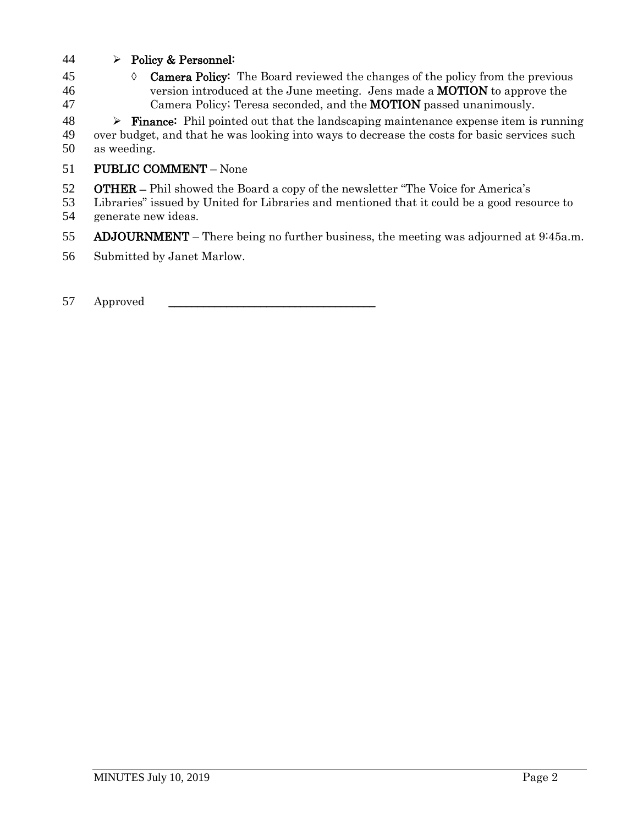- 44 Policy & Personnel:
- 45  $\Diamond$  **Camera Policy:** The Board reviewed the changes of the policy from the previous 46 version introduced at the June meeting. Jens made a **MOTION** to approve the 47 Camera Policy; Teresa seconded, and the **MOTION** passed unanimously.

 $48 \rightarrow$  **Finance:** Phil pointed out that the landscaping maintenance expense item is running 49 over budget, and that he was looking into ways to decrease the costs for basic services such 50 as weeding.

- 51 PUBLIC COMMENT None
- 52 OTHER Phil showed the Board a copy of the newsletter "The Voice for America's
- 53 Libraries" issued by United for Libraries and mentioned that it could be a good resource to 54 generate new ideas.
- 55 ADJOURNMENT There being no further business, the meeting was adjourned at 9:45a.m.
- 56 Submitted by Janet Marlow.
- 57 Approved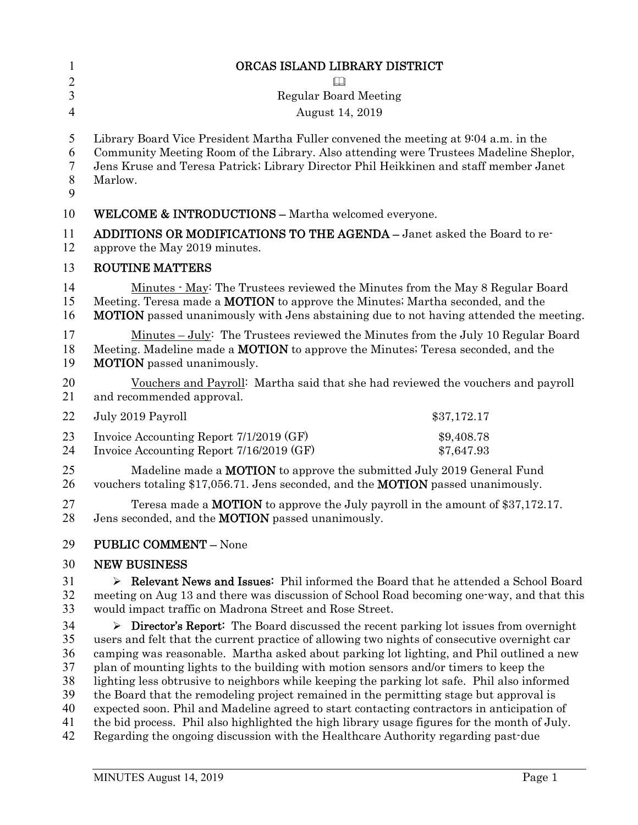| $\mathbf{1}$                                       | ORCAS ISLAND LIBRARY DISTRICT                                                                                                                                                                                                                                                                                                                                                                                                                                                                                                                                                                                                                                                                                                                                                                                                                                         |
|----------------------------------------------------|-----------------------------------------------------------------------------------------------------------------------------------------------------------------------------------------------------------------------------------------------------------------------------------------------------------------------------------------------------------------------------------------------------------------------------------------------------------------------------------------------------------------------------------------------------------------------------------------------------------------------------------------------------------------------------------------------------------------------------------------------------------------------------------------------------------------------------------------------------------------------|
| $\overline{2}$                                     |                                                                                                                                                                                                                                                                                                                                                                                                                                                                                                                                                                                                                                                                                                                                                                                                                                                                       |
| 3                                                  | <b>Regular Board Meeting</b>                                                                                                                                                                                                                                                                                                                                                                                                                                                                                                                                                                                                                                                                                                                                                                                                                                          |
| $\overline{4}$                                     | August 14, 2019                                                                                                                                                                                                                                                                                                                                                                                                                                                                                                                                                                                                                                                                                                                                                                                                                                                       |
| 5<br>6<br>7<br>8<br>9                              | Library Board Vice President Martha Fuller convened the meeting at 904 a.m. in the<br>Community Meeting Room of the Library. Also attending were Trustees Madeline Sheplor,<br>Jens Kruse and Teresa Patrick; Library Director Phil Heikkinen and staff member Janet<br>Marlow.                                                                                                                                                                                                                                                                                                                                                                                                                                                                                                                                                                                       |
| 10                                                 | <b>WELCOME &amp; INTRODUCTIONS - Martha welcomed everyone.</b>                                                                                                                                                                                                                                                                                                                                                                                                                                                                                                                                                                                                                                                                                                                                                                                                        |
| 11<br>12                                           | ADDITIONS OR MODIFICATIONS TO THE AGENDA - Janet asked the Board to re-<br>approve the May 2019 minutes.                                                                                                                                                                                                                                                                                                                                                                                                                                                                                                                                                                                                                                                                                                                                                              |
| 13                                                 | <b>ROUTINE MATTERS</b>                                                                                                                                                                                                                                                                                                                                                                                                                                                                                                                                                                                                                                                                                                                                                                                                                                                |
| 14<br>15<br>16                                     | Minutes · May: The Trustees reviewed the Minutes from the May 8 Regular Board<br>Meeting. Teresa made a <b>MOTION</b> to approve the Minutes; Martha seconded, and the<br><b>MOTION</b> passed unanimously with Jens abstaining due to not having attended the meeting.                                                                                                                                                                                                                                                                                                                                                                                                                                                                                                                                                                                               |
| 17<br>18<br>19                                     | <u>Minutes – July:</u> The Trustees reviewed the Minutes from the July 10 Regular Board<br>Meeting. Madeline made a MOTION to approve the Minutes; Teresa seconded, and the<br><b>MOTION</b> passed unanimously.                                                                                                                                                                                                                                                                                                                                                                                                                                                                                                                                                                                                                                                      |
| 20<br>21                                           | Vouchers and Payroll: Martha said that she had reviewed the vouchers and payroll<br>and recommended approval.                                                                                                                                                                                                                                                                                                                                                                                                                                                                                                                                                                                                                                                                                                                                                         |
| 22                                                 | July 2019 Payroll<br>\$37,172.17                                                                                                                                                                                                                                                                                                                                                                                                                                                                                                                                                                                                                                                                                                                                                                                                                                      |
| 23<br>24                                           | Invoice Accounting Report 7/1/2019 (GF)<br>\$9,408.78<br>Invoice Accounting Report 7/16/2019 (GF)<br>\$7,647.93                                                                                                                                                                                                                                                                                                                                                                                                                                                                                                                                                                                                                                                                                                                                                       |
| 25<br>26                                           | Madeline made a <b>MOTION</b> to approve the submitted July 2019 General Fund<br>vouchers totaling \$17,056.71. Jens seconded, and the <b>MOTION</b> passed unanimously.                                                                                                                                                                                                                                                                                                                                                                                                                                                                                                                                                                                                                                                                                              |
| 27<br>28                                           | Teresa made a <b>MOTION</b> to approve the July payroll in the amount of \$37,172.17.<br>Jens seconded, and the <b>MOTION</b> passed unanimously.                                                                                                                                                                                                                                                                                                                                                                                                                                                                                                                                                                                                                                                                                                                     |
| 29                                                 | <b>PUBLIC COMMENT - None</b>                                                                                                                                                                                                                                                                                                                                                                                                                                                                                                                                                                                                                                                                                                                                                                                                                                          |
| 30                                                 | <b>NEW BUSINESS</b>                                                                                                                                                                                                                                                                                                                                                                                                                                                                                                                                                                                                                                                                                                                                                                                                                                                   |
| 31<br>32<br>33                                     | $\triangleright$ Relevant News and Issues: Phil informed the Board that he attended a School Board<br>meeting on Aug 13 and there was discussion of School Road becoming one way, and that this<br>would impact traffic on Madrona Street and Rose Street.                                                                                                                                                                                                                                                                                                                                                                                                                                                                                                                                                                                                            |
| 34<br>35<br>36<br>37<br>38<br>39<br>40<br>41<br>42 | $\triangleright$ Director's Report: The Board discussed the recent parking lot issues from overnight<br>users and felt that the current practice of allowing two nights of consecutive overnight car<br>camping was reasonable. Martha asked about parking lot lighting, and Phil outlined a new<br>plan of mounting lights to the building with motion sensors and/or timers to keep the<br>lighting less obtrusive to neighbors while keeping the parking lot safe. Phil also informed<br>the Board that the remodeling project remained in the permitting stage but approval is<br>expected soon. Phil and Madeline agreed to start contacting contractors in anticipation of<br>the bid process. Phil also highlighted the high library usage figures for the month of July.<br>Regarding the ongoing discussion with the Healthcare Authority regarding past-due |
|                                                    |                                                                                                                                                                                                                                                                                                                                                                                                                                                                                                                                                                                                                                                                                                                                                                                                                                                                       |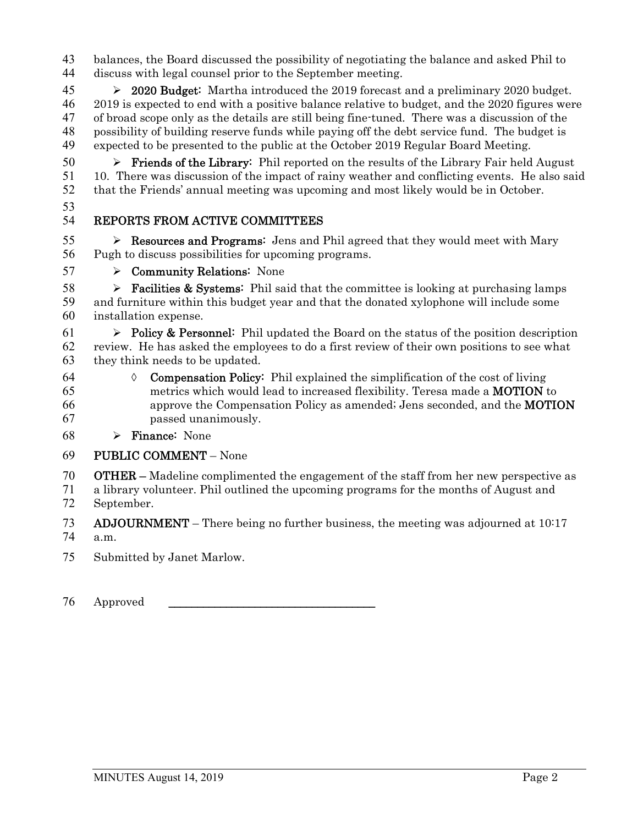balances, the Board discussed the possibility of negotiating the balance and asked Phil to discuss with legal counsel prior to the September meeting.

 2020 Budget: Martha introduced the 2019 forecast and a preliminary 2020 budget. 2019 is expected to end with a positive balance relative to budget, and the 2020 figures were of broad scope only as the details are still being fine-tuned. There was a discussion of the possibility of building reserve funds while paying off the debt service fund. The budget is expected to be presented to the public at the October 2019 Regular Board Meeting.

 $50 \rightarrow$  **Friends of the Library:** Phil reported on the results of the Library Fair held August 10. There was discussion of the impact of rainy weather and conflicting events. He also said that the Friends' annual meeting was upcoming and most likely would be in October.

# REPORTS FROM ACTIVE COMMITTEES

55  $\triangleright$  **Resources and Programs:** Jens and Phil agreed that they would meet with Mary Pugh to discuss possibilities for upcoming programs.

 $57 \rightarrow$  Community Relations: None

**Facilities & Systems:** Phil said that the committee is looking at purchasing lamps and furniture within this budget year and that the donated xylophone will include some installation expense.

61  $\triangleright$  Policy & Personnel: Phil updated the Board on the status of the position description review. He has asked the employees to do a first review of their own positions to see what they think needs to be updated.

- 64  $\Diamond$  **Compensation Policy:** Phil explained the simplification of the cost of living metrics which would lead to increased flexibility. Teresa made a MOTION to approve the Compensation Policy as amended; Jens seconded, and the MOTION passed unanimously.
- 68  $\triangleright$  **Finance:** None

## PUBLIC COMMENT – None

OTHER – Madeline complimented the engagement of the staff from her new perspective as

a library volunteer. Phil outlined the upcoming programs for the months of August and September.

ADJOURNMENT – There being no further business, the meeting was adjourned at 10:17 a.m.

Submitted by Janet Marlow.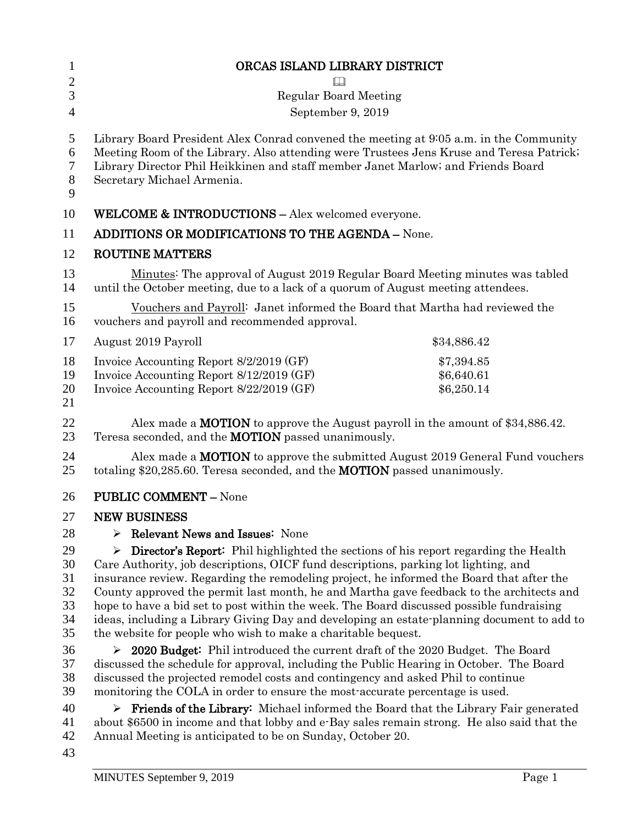| 1                              | ORCAS ISLAND LIBRARY DISTRICT                                                                                                                                                                                                                                                                        |             |  |
|--------------------------------|------------------------------------------------------------------------------------------------------------------------------------------------------------------------------------------------------------------------------------------------------------------------------------------------------|-------------|--|
| $\overline{2}$                 | $\Box$                                                                                                                                                                                                                                                                                               |             |  |
| 3                              | <b>Regular Board Meeting</b>                                                                                                                                                                                                                                                                         |             |  |
| $\overline{4}$                 | September 9, 2019                                                                                                                                                                                                                                                                                    |             |  |
| 5<br>6<br>$\tau$<br>$8\,$<br>9 | Library Board President Alex Conrad convened the meeting at 9:05 a.m. in the Community<br>Meeting Room of the Library. Also attending were Trustees Jens Kruse and Teresa Patrick;<br>Library Director Phil Heikkinen and staff member Janet Marlow; and Friends Board<br>Secretary Michael Armenia. |             |  |
| 10                             | <b>WELCOME &amp; INTRODUCTIONS - Alex welcomed everyone.</b>                                                                                                                                                                                                                                         |             |  |
| 11                             | <b>ADDITIONS OR MODIFICATIONS TO THE AGENDA - None.</b>                                                                                                                                                                                                                                              |             |  |
| 12                             | <b>ROUTINE MATTERS</b>                                                                                                                                                                                                                                                                               |             |  |
| 13<br>14                       | Minutes: The approval of August 2019 Regular Board Meeting minutes was tabled<br>until the October meeting, due to a lack of a quorum of August meeting attendees.                                                                                                                                   |             |  |
| 15<br>16                       | Vouchers and Payroll: Janet informed the Board that Martha had reviewed the<br>vouchers and payroll and recommended approval.                                                                                                                                                                        |             |  |
| 17                             | August 2019 Payroll                                                                                                                                                                                                                                                                                  | \$34,886.42 |  |
| 18                             | Invoice Accounting Report 8/2/2019 (GF)                                                                                                                                                                                                                                                              | \$7,394.85  |  |
| 19                             | Invoice Accounting Report 8/12/2019 (GF)                                                                                                                                                                                                                                                             | \$6,640.61  |  |
| 20<br>21                       | Invoice Accounting Report 8/22/2019 (GF)                                                                                                                                                                                                                                                             | \$6,250.14  |  |
| 22<br>23                       | Alex made a <b>MOTION</b> to approve the August payroll in the amount of \$34,886.42.<br>Teresa seconded, and the <b>MOTION</b> passed unanimously.                                                                                                                                                  |             |  |
| 24<br>25                       | Alex made a <b>MOTION</b> to approve the submitted August 2019 General Fund vouchers<br>totaling \$20,285.60. Teresa seconded, and the <b>MOTION</b> passed unanimously.                                                                                                                             |             |  |
| 26                             | <b>PUBLIC COMMENT - None</b>                                                                                                                                                                                                                                                                         |             |  |
| 27                             | <b>NEW BUSINESS</b>                                                                                                                                                                                                                                                                                  |             |  |
| 28                             | <b>Relevant News and Issues: None</b>                                                                                                                                                                                                                                                                |             |  |
| 29                             | <b>Director's Report:</b> Phil highlighted the sections of his report regarding the Health<br>➤                                                                                                                                                                                                      |             |  |
| 30                             | Care Authority, job descriptions, OICF fund descriptions, parking lot lighting, and                                                                                                                                                                                                                  |             |  |
| 31                             | insurance review. Regarding the remodeling project, he informed the Board that after the                                                                                                                                                                                                             |             |  |
| 32                             | County approved the permit last month, he and Martha gave feedback to the architects and                                                                                                                                                                                                             |             |  |
| 33                             | hope to have a bid set to post within the week. The Board discussed possible fundraising                                                                                                                                                                                                             |             |  |
| 34<br>35                       | ideas, including a Library Giving Day and developing an estate-planning document to add to<br>the website for people who wish to make a charitable bequest.                                                                                                                                          |             |  |
| 36                             | 2020 Budget: Phil introduced the current draft of the 2020 Budget. The Board<br>➤                                                                                                                                                                                                                    |             |  |
| 37                             |                                                                                                                                                                                                                                                                                                      |             |  |
| 38                             | discussed the schedule for approval, including the Public Hearing in October. The Board<br>discussed the projected remodel costs and contingency and asked Phil to continue                                                                                                                          |             |  |
| 39                             | monitoring the COLA in order to ensure the most-accurate percentage is used.                                                                                                                                                                                                                         |             |  |
| 40                             | <b>Friends of the Library:</b> Michael informed the Board that the Library Fair generated                                                                                                                                                                                                            |             |  |
| 41                             | about \$6500 in income and that lobby and e-Bay sales remain strong. He also said that the                                                                                                                                                                                                           |             |  |
| 42                             | Annual Meeting is anticipated to be on Sunday, October 20.                                                                                                                                                                                                                                           |             |  |

43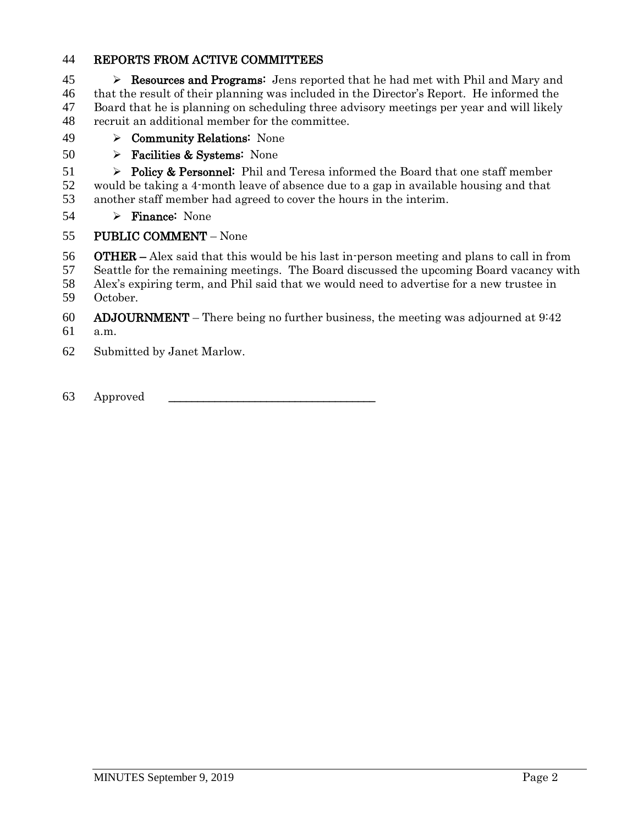#### REPORTS FROM ACTIVE COMMITTEES

  $\triangleright$  **Resources and Programs:** Jens reported that he had met with Phil and Mary and that the result of their planning was included in the Director's Report. He informed the Board that he is planning on scheduling three advisory meetings per year and will likely recruit an additional member for the committee.

- Community Relations: None
- 50  $\triangleright$  Facilities & Systems: None

51  $\triangleright$  Policy & Personnel: Phil and Teresa informed the Board that one staff member would be taking a 4-month leave of absence due to a gap in available housing and that another staff member had agreed to cover the hours in the interim.

54  $\triangleright$  Finance: None

#### PUBLIC COMMENT – None

- OTHER Alex said that this would be his last in-person meeting and plans to call in from
- Seattle for the remaining meetings. The Board discussed the upcoming Board vacancy with
- Alex's expiring term, and Phil said that we would need to advertise for a new trustee in October.
- 60 ADJOURNMENT There being no further business, the meeting was adjourned at  $9.42$
- a.m.
- Submitted by Janet Marlow.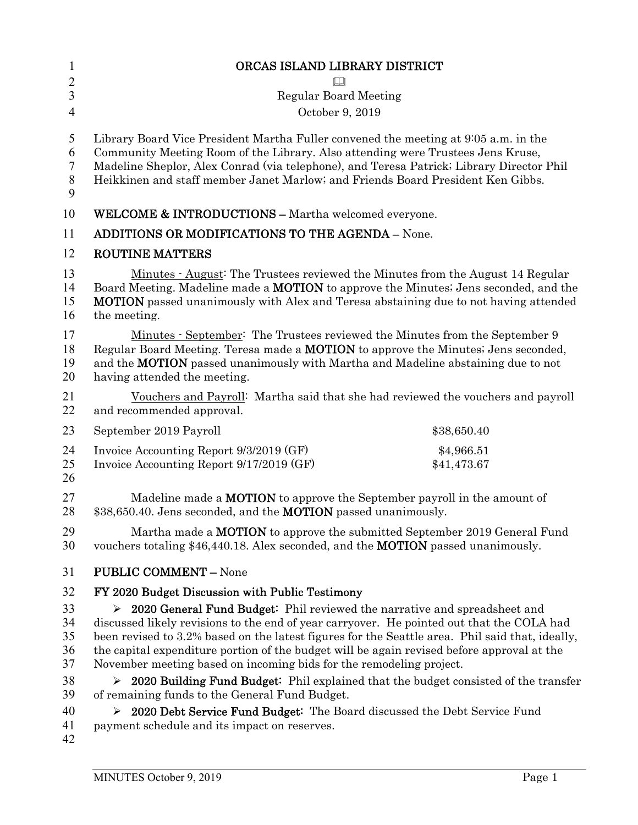| 1                                          | ORCAS ISLAND LIBRARY DISTRICT                                                                                                                                                                                                                                                                                                                         |                           |  |
|--------------------------------------------|-------------------------------------------------------------------------------------------------------------------------------------------------------------------------------------------------------------------------------------------------------------------------------------------------------------------------------------------------------|---------------------------|--|
| $\overline{2}$                             | $\Box$                                                                                                                                                                                                                                                                                                                                                |                           |  |
| $\overline{3}$                             | <b>Regular Board Meeting</b>                                                                                                                                                                                                                                                                                                                          |                           |  |
| 4                                          | October 9, 2019                                                                                                                                                                                                                                                                                                                                       |                           |  |
| 5<br>6<br>$\boldsymbol{7}$<br>$\,8\,$<br>9 | Library Board Vice President Martha Fuller convened the meeting at 9:05 a.m. in the<br>Community Meeting Room of the Library. Also attending were Trustees Jens Kruse,<br>Madeline Sheplor, Alex Conrad (via telephone), and Teresa Patrick; Library Director Phil<br>Heikkinen and staff member Janet Marlow; and Friends Board President Ken Gibbs. |                           |  |
| 10                                         | <b>WELCOME &amp; INTRODUCTIONS - Martha welcomed everyone.</b>                                                                                                                                                                                                                                                                                        |                           |  |
| 11                                         | <b>ADDITIONS OR MODIFICATIONS TO THE AGENDA - None.</b>                                                                                                                                                                                                                                                                                               |                           |  |
| 12                                         | <b>ROUTINE MATTERS</b>                                                                                                                                                                                                                                                                                                                                |                           |  |
| 13<br>14<br>15<br>16                       | <u>Minutes · August</u> : The Trustees reviewed the Minutes from the August 14 Regular<br>Board Meeting. Madeline made a MOTION to approve the Minutes; Jens seconded, and the<br><b>MOTION</b> passed unanimously with Alex and Teresa abstaining due to not having attended<br>the meeting.                                                         |                           |  |
| 17<br>18<br>19<br>20                       | <u>Minutes · September:</u> The Trustees reviewed the Minutes from the September 9<br>Regular Board Meeting. Teresa made a <b>MOTION</b> to approve the Minutes; Jens seconded,<br>and the <b>MOTION</b> passed unanimously with Martha and Madeline abstaining due to not<br>having attended the meeting.                                            |                           |  |
| 21<br>22                                   | Vouchers and Payroll: Martha said that she had reviewed the vouchers and payroll<br>and recommended approval.                                                                                                                                                                                                                                         |                           |  |
| 23                                         | September 2019 Payroll                                                                                                                                                                                                                                                                                                                                | \$38,650.40               |  |
| 24<br>25<br>26                             | Invoice Accounting Report 9/3/2019 (GF)<br>Invoice Accounting Report 9/17/2019 (GF)                                                                                                                                                                                                                                                                   | \$4,966.51<br>\$41,473.67 |  |
| 27<br>28                                   | Madeline made a <b>MOTION</b> to approve the September payroll in the amount of<br>\$38,650.40. Jens seconded, and the <b>MOTION</b> passed unanimously.                                                                                                                                                                                              |                           |  |
| 29<br>30                                   | Martha made a <b>MOTION</b> to approve the submitted September 2019 General Fund<br>vouchers totaling \$46,440.18. Alex seconded, and the <b>MOTION</b> passed unanimously.                                                                                                                                                                           |                           |  |
| 31                                         | <b>PUBLIC COMMENT - None</b>                                                                                                                                                                                                                                                                                                                          |                           |  |
| 32                                         | FY 2020 Budget Discussion with Public Testimony                                                                                                                                                                                                                                                                                                       |                           |  |
| 33                                         | $\triangleright$ 2020 General Fund Budget: Phil reviewed the narrative and spreadsheet and                                                                                                                                                                                                                                                            |                           |  |
| 34                                         | discussed likely revisions to the end of year carryover. He pointed out that the COLA had                                                                                                                                                                                                                                                             |                           |  |
| 35                                         | been revised to 3.2% based on the latest figures for the Seattle area. Phil said that, ideally,                                                                                                                                                                                                                                                       |                           |  |
| 36<br>37                                   | the capital expenditure portion of the budget will be again revised before approval at the<br>November meeting based on incoming bids for the remodeling project.                                                                                                                                                                                     |                           |  |
| 38                                         |                                                                                                                                                                                                                                                                                                                                                       |                           |  |
| 39                                         | $\geq$ 2020 Building Fund Budget: Phil explained that the budget consisted of the transfer<br>of remaining funds to the General Fund Budget.                                                                                                                                                                                                          |                           |  |
| 40                                         | > 2020 Debt Service Fund Budget: The Board discussed the Debt Service Fund                                                                                                                                                                                                                                                                            |                           |  |
| 41                                         | payment schedule and its impact on reserves.                                                                                                                                                                                                                                                                                                          |                           |  |
| 42                                         |                                                                                                                                                                                                                                                                                                                                                       |                           |  |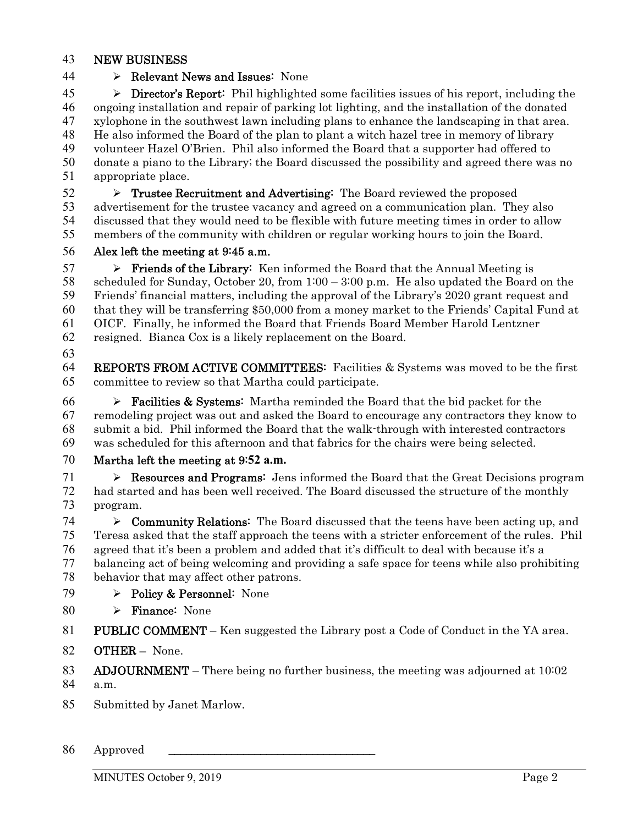#### NEW BUSINESS

### 44  $\rightarrow$  Relevant News and Issues: None

 > Director's Report: Phil highlighted some facilities issues of his report, including the ongoing installation and repair of parking lot lighting, and the installation of the donated xylophone in the southwest lawn including plans to enhance the landscaping in that area. He also informed the Board of the plan to plant a witch hazel tree in memory of library volunteer Hazel O'Brien. Phil also informed the Board that a supporter had offered to donate a piano to the Library; the Board discussed the possibility and agreed there was no appropriate place.

 $52 \rightarrow$  Trustee Recruitment and Advertising: The Board reviewed the proposed advertisement for the trustee vacancy and agreed on a communication plan. They also discussed that they would need to be flexible with future meeting times in order to allow members of the community with children or regular working hours to join the Board.

Alex left the meeting at 9:45 a.m.

 $57 \rightarrow$  Friends of the Library: Ken informed the Board that the Annual Meeting is scheduled for Sunday, October 20, from 1:00 – 3:00 p.m. He also updated the Board on the Friends' financial matters, including the approval of the Library's 2020 grant request and that they will be transferring \$50,000 from a money market to the Friends' Capital Fund at OICF. Finally, he informed the Board that Friends Board Member Harold Lentzner resigned. Bianca Cox is a likely replacement on the Board.

REPORTS FROM ACTIVE COMMITTEES: Facilities & Systems was moved to be the first committee to review so that Martha could participate.

**Facilities & Systems:** Martha reminded the Board that the bid packet for the remodeling project was out and asked the Board to encourage any contractors they know to submit a bid. Phil informed the Board that the walk-through with interested contractors was scheduled for this afternoon and that fabrics for the chairs were being selected.

#### Martha left the meeting at 9:**52 a.m.**

71  $\triangleright$  **Resources and Programs:** Jens informed the Board that the Great Decisions program had started and has been well received. The Board discussed the structure of the monthly program.

 $\triangleright$  **Community Relations:** The Board discussed that the teens have been acting up, and Teresa asked that the staff approach the teens with a stricter enforcement of the rules. Phil agreed that it's been a problem and added that it's difficult to deal with because it's a balancing act of being welcoming and providing a safe space for teens while also prohibiting behavior that may affect other patrons.

- 79 > Policy & Personnel: None
- 80  $\triangleright$  Finance: None
- PUBLIC COMMENT Ken suggested the Library post a Code of Conduct in the YA area.
- OTHER None.
- ADJOURNMENT There being no further business, the meeting was adjourned at 10:02

a.m.

Submitted by Janet Marlow.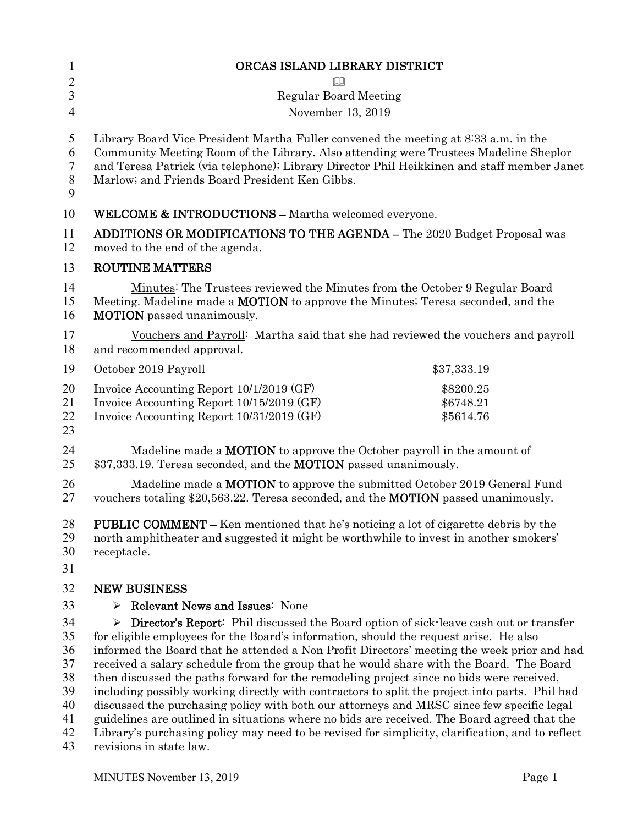| $\mathbf{1}$                     | ORCAS ISLAND LIBRARY DISTRICT                                                                                                                                                                                                                                                                                                                                                                                                                                                                                                                                                         |                                     |  |
|----------------------------------|---------------------------------------------------------------------------------------------------------------------------------------------------------------------------------------------------------------------------------------------------------------------------------------------------------------------------------------------------------------------------------------------------------------------------------------------------------------------------------------------------------------------------------------------------------------------------------------|-------------------------------------|--|
| $\overline{2}$                   | $\Box$                                                                                                                                                                                                                                                                                                                                                                                                                                                                                                                                                                                |                                     |  |
| 3                                | <b>Regular Board Meeting</b>                                                                                                                                                                                                                                                                                                                                                                                                                                                                                                                                                          |                                     |  |
| $\overline{4}$                   | November 13, 2019                                                                                                                                                                                                                                                                                                                                                                                                                                                                                                                                                                     |                                     |  |
| 5<br>6<br>7<br>$8\,$<br>9        | Library Board Vice President Martha Fuller convened the meeting at 8:33 a.m. in the<br>Community Meeting Room of the Library. Also attending were Trustees Madeline Sheplor<br>and Teresa Patrick (via telephone); Library Director Phil Heikkinen and staff member Janet<br>Marlow; and Friends Board President Ken Gibbs.                                                                                                                                                                                                                                                           |                                     |  |
| 10                               | <b>WELCOME &amp; INTRODUCTIONS - Martha welcomed everyone.</b>                                                                                                                                                                                                                                                                                                                                                                                                                                                                                                                        |                                     |  |
| 11<br>12                         | <b>ADDITIONS OR MODIFICATIONS TO THE AGENDA - The 2020 Budget Proposal was</b><br>moved to the end of the agenda.                                                                                                                                                                                                                                                                                                                                                                                                                                                                     |                                     |  |
| 13                               | <b>ROUTINE MATTERS</b>                                                                                                                                                                                                                                                                                                                                                                                                                                                                                                                                                                |                                     |  |
| 14<br>15<br>16                   | Minutes: The Trustees reviewed the Minutes from the October 9 Regular Board<br>Meeting. Madeline made a <b>MOTION</b> to approve the Minutes; Teresa seconded, and the<br><b>MOTION</b> passed unanimously.                                                                                                                                                                                                                                                                                                                                                                           |                                     |  |
| 17<br>18                         | Vouchers and Payroll: Martha said that she had reviewed the vouchers and payroll<br>and recommended approval.                                                                                                                                                                                                                                                                                                                                                                                                                                                                         |                                     |  |
| 19                               | October 2019 Payroll                                                                                                                                                                                                                                                                                                                                                                                                                                                                                                                                                                  | \$37,333.19                         |  |
| 20<br>21<br>22<br>23             | Invoice Accounting Report 10/1/2019 (GF)<br>Invoice Accounting Report 10/15/2019 (GF)<br>Invoice Accounting Report 10/31/2019 (GF)                                                                                                                                                                                                                                                                                                                                                                                                                                                    | \$8200.25<br>\$6748.21<br>\$5614.76 |  |
| 24<br>25                         | Madeline made a <b>MOTION</b> to approve the October payroll in the amount of<br>\$37,333.19. Teresa seconded, and the <b>MOTION</b> passed unanimously.                                                                                                                                                                                                                                                                                                                                                                                                                              |                                     |  |
| 26<br>27                         | Madeline made a <b>MOTION</b> to approve the submitted October 2019 General Fund<br>vouchers totaling \$20,563.22. Teresa seconded, and the <b>MOTION</b> passed unanimously.                                                                                                                                                                                                                                                                                                                                                                                                         |                                     |  |
| 28<br>29<br>30<br>31             | <b>PUBLIC COMMENT –</b> Ken mentioned that he's noticing a lot of cigarette debris by the<br>north amphitheater and suggested it might be worthwhile to invest in another smokers'<br>receptacle.                                                                                                                                                                                                                                                                                                                                                                                     |                                     |  |
| 32                               | <b>NEW BUSINESS</b>                                                                                                                                                                                                                                                                                                                                                                                                                                                                                                                                                                   |                                     |  |
| 33                               | <b>Relevant News and Issues: None</b><br>➤                                                                                                                                                                                                                                                                                                                                                                                                                                                                                                                                            |                                     |  |
| 34<br>35<br>36                   | <b>Director's Report:</b> Phil discussed the Board option of sick-leave cash out or transfer<br>≻<br>for eligible employees for the Board's information, should the request arise. He also<br>informed the Board that he attended a Non Profit Directors' meeting the week prior and had                                                                                                                                                                                                                                                                                              |                                     |  |
| 37<br>38<br>39<br>40<br>41<br>42 | received a salary schedule from the group that he would share with the Board. The Board<br>then discussed the paths forward for the remodeling project since no bids were received,<br>including possibly working directly with contractors to split the project into parts. Phil had<br>discussed the purchasing policy with both our attorneys and MRSC since few specific legal<br>guidelines are outlined in situations where no bids are received. The Board agreed that the<br>Library's purchasing policy may need to be revised for simplicity, clarification, and to reflect |                                     |  |
| 43                               | revisions in state law.                                                                                                                                                                                                                                                                                                                                                                                                                                                                                                                                                               |                                     |  |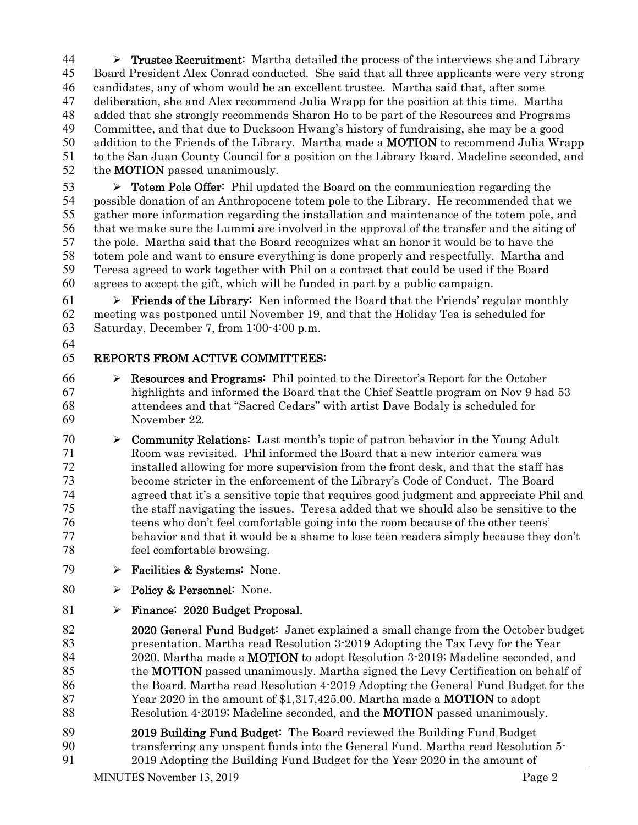$44 \rightarrow$  Trustee Recruitment: Martha detailed the process of the interviews she and Library Board President Alex Conrad conducted. She said that all three applicants were very strong candidates, any of whom would be an excellent trustee. Martha said that, after some deliberation, she and Alex recommend Julia Wrapp for the position at this time. Martha added that she strongly recommends Sharon Ho to be part of the Resources and Programs Committee, and that due to Ducksoon Hwang's history of fundraising, she may be a good 50 addition to the Friends of the Library. Martha made a **MOTION** to recommend Julia Wrapp to the San Juan County Council for a position on the Library Board. Madeline seconded, and 52 the **MOTION** passed unanimously.

 $\triangleright$  **Totem Pole Offer:** Phil updated the Board on the communication regarding the possible donation of an Anthropocene totem pole to the Library. He recommended that we gather more information regarding the installation and maintenance of the totem pole, and that we make sure the Lummi are involved in the approval of the transfer and the siting of the pole. Martha said that the Board recognizes what an honor it would be to have the totem pole and want to ensure everything is done properly and respectfully. Martha and Teresa agreed to work together with Phil on a contract that could be used if the Board agrees to accept the gift, which will be funded in part by a public campaign.

61  $\triangleright$  **Friends of the Library:** Ken informed the Board that the Friends' regular monthly meeting was postponed until November 19, and that the Holiday Tea is scheduled for Saturday, December 7, from 1:00-4:00 p.m.

# REPORTS FROM ACTIVE COMMITTEES:

- $66 \rightarrow$  **Resources and Programs:** Phil pointed to the Director's Report for the October highlights and informed the Board that the Chief Seattle program on Nov 9 had 53 attendees and that "Sacred Cedars" with artist Dave Bodaly is scheduled for November 22.
- 70  $\triangleright$  **Community Relations:** Last month's topic of patron behavior in the Young Adult Room was revisited. Phil informed the Board that a new interior camera was installed allowing for more supervision from the front desk, and that the staff has become stricter in the enforcement of the Library's Code of Conduct. The Board agreed that it's a sensitive topic that requires good judgment and appreciate Phil and the staff navigating the issues. Teresa added that we should also be sensitive to the teens who don't feel comfortable going into the room because of the other teens' behavior and that it would be a shame to lose teen readers simply because they don't feel comfortable browsing.
- 79  $\triangleright$  Facilities & Systems: None.
- 80  $\rightarrow$  Policy & Personnel: None.
- Finance: 2020 Budget Proposal.

82 2020 General Fund Budget: Janet explained a small change from the October budget presentation. Martha read Resolution 3-2019 Adopting the Tax Levy for the Year 84 2020. Martha made a **MOTION** to adopt Resolution 3-2019; Madeline seconded, and 85 the **MOTION** passed unanimously. Martha signed the Levy Certification on behalf of the Board. Martha read Resolution 4-2019 Adopting the General Fund Budget for the 87 Year 2020 in the amount of \$1,317,425.00. Martha made a **MOTION** to adopt 88 Resolution 4-2019; Madeline seconded, and the **MOTION** passed unanimously.

89 2019 Building Fund Budget: The Board reviewed the Building Fund Budget transferring any unspent funds into the General Fund. Martha read Resolution 5- 2019 Adopting the Building Fund Budget for the Year 2020 in the amount of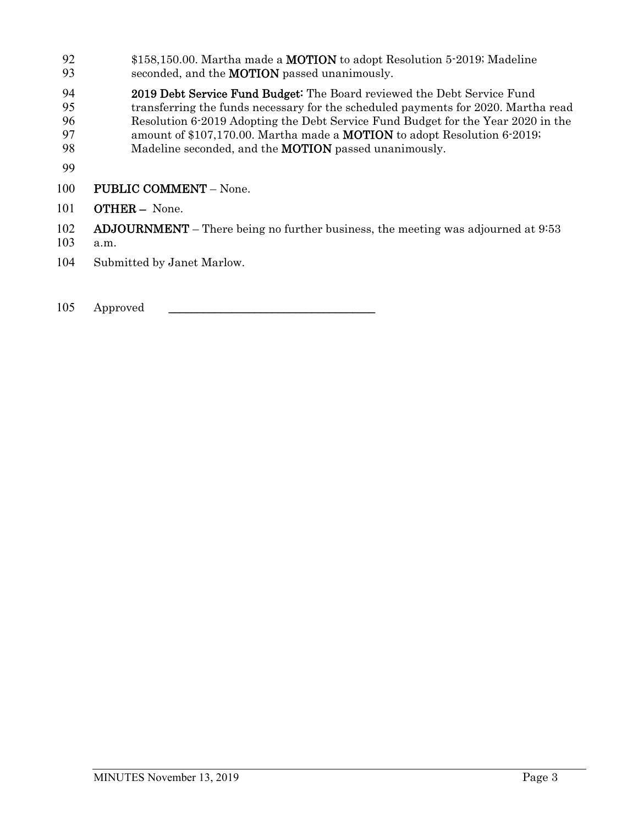- 92 \$158,150.00. Martha made a MOTION to adopt Resolution 5-2019; Madeline 93 seconded, and the **MOTION** passed unanimously.
- 2019 Debt Service Fund Budget: The Board reviewed the Debt Service Fund<br>95 transferring the funds necessary for the scheduled payments for 2020. Marth 95 transferring the funds necessary for the scheduled payments for 2020. Martha read 96 Resolution 6-2019 Adopting the Debt Service Fund Budget for the Year 2020 in the 97 amount of \$107,170.00. Martha made a **MOTION** to adopt Resolution 6-2019; 98 Madeline seconded, and the **MOTION** passed unanimously.
- 99
- 100 PUBLIC COMMENT None.
- 101 **OTHER** None.
- 102 ADJOURNMENT There being no further business, the meeting was adjourned at 9:53
- 103 a.m.
- 104 Submitted by Janet Marlow.
- 105 Approved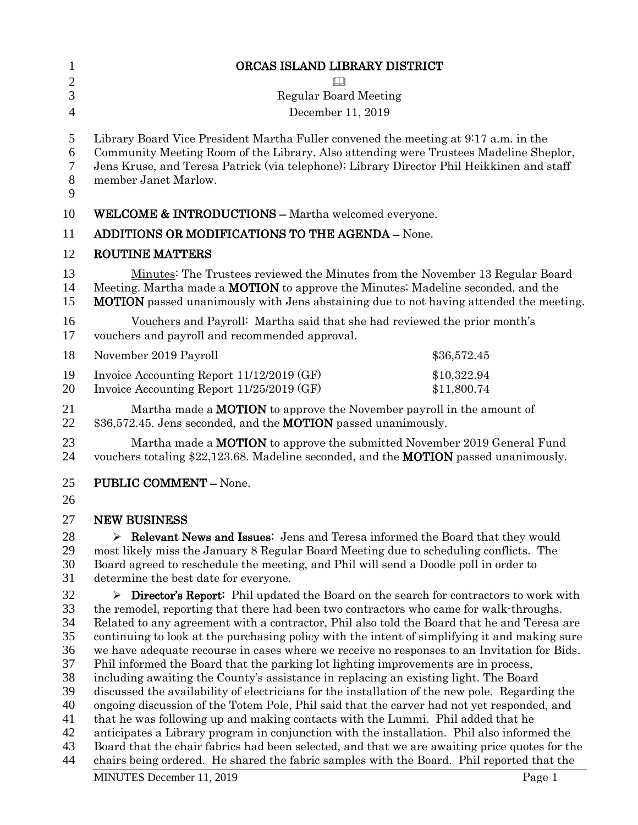| $\mathbf{1}$                                                               | ORCAS ISLAND LIBRARY DISTRICT                                                                                                                                                                                                                                                                                                                                                                                                                                                                                                                                                                                                                                                                                                                                                                                                                                                                                                                                                                                                                                                                                                                                                                                                                          |  |
|----------------------------------------------------------------------------|--------------------------------------------------------------------------------------------------------------------------------------------------------------------------------------------------------------------------------------------------------------------------------------------------------------------------------------------------------------------------------------------------------------------------------------------------------------------------------------------------------------------------------------------------------------------------------------------------------------------------------------------------------------------------------------------------------------------------------------------------------------------------------------------------------------------------------------------------------------------------------------------------------------------------------------------------------------------------------------------------------------------------------------------------------------------------------------------------------------------------------------------------------------------------------------------------------------------------------------------------------|--|
| $\overline{2}$                                                             | $\Box$                                                                                                                                                                                                                                                                                                                                                                                                                                                                                                                                                                                                                                                                                                                                                                                                                                                                                                                                                                                                                                                                                                                                                                                                                                                 |  |
| 3                                                                          | <b>Regular Board Meeting</b>                                                                                                                                                                                                                                                                                                                                                                                                                                                                                                                                                                                                                                                                                                                                                                                                                                                                                                                                                                                                                                                                                                                                                                                                                           |  |
| $\overline{4}$                                                             | December 11, 2019                                                                                                                                                                                                                                                                                                                                                                                                                                                                                                                                                                                                                                                                                                                                                                                                                                                                                                                                                                                                                                                                                                                                                                                                                                      |  |
| 5<br>6<br>7<br>$8\phantom{1}$<br>9                                         | Library Board Vice President Martha Fuller convened the meeting at 9:17 a.m. in the<br>Community Meeting Room of the Library. Also attending were Trustees Madeline Sheplor,<br>Jens Kruse, and Teresa Patrick (via telephone); Library Director Phil Heikkinen and staff<br>member Janet Marlow.                                                                                                                                                                                                                                                                                                                                                                                                                                                                                                                                                                                                                                                                                                                                                                                                                                                                                                                                                      |  |
| 10                                                                         | <b>WELCOME &amp; INTRODUCTIONS - Martha welcomed everyone.</b>                                                                                                                                                                                                                                                                                                                                                                                                                                                                                                                                                                                                                                                                                                                                                                                                                                                                                                                                                                                                                                                                                                                                                                                         |  |
| 11                                                                         | ADDITIONS OR MODIFICATIONS TO THE AGENDA - None.                                                                                                                                                                                                                                                                                                                                                                                                                                                                                                                                                                                                                                                                                                                                                                                                                                                                                                                                                                                                                                                                                                                                                                                                       |  |
| 12                                                                         | <b>ROUTINE MATTERS</b>                                                                                                                                                                                                                                                                                                                                                                                                                                                                                                                                                                                                                                                                                                                                                                                                                                                                                                                                                                                                                                                                                                                                                                                                                                 |  |
| 13<br>14<br>15                                                             | Minutes: The Trustees reviewed the Minutes from the November 13 Regular Board<br>Meeting. Martha made a <b>MOTION</b> to approve the Minutes; Madeline seconded, and the<br><b>MOTION</b> passed unanimously with Jens abstaining due to not having attended the meeting.                                                                                                                                                                                                                                                                                                                                                                                                                                                                                                                                                                                                                                                                                                                                                                                                                                                                                                                                                                              |  |
| 16<br>17                                                                   | Vouchers and Payroll: Martha said that she had reviewed the prior month's<br>vouchers and payroll and recommended approval.                                                                                                                                                                                                                                                                                                                                                                                                                                                                                                                                                                                                                                                                                                                                                                                                                                                                                                                                                                                                                                                                                                                            |  |
| 18                                                                         | November 2019 Payroll<br>\$36,572.45                                                                                                                                                                                                                                                                                                                                                                                                                                                                                                                                                                                                                                                                                                                                                                                                                                                                                                                                                                                                                                                                                                                                                                                                                   |  |
| 19<br>20                                                                   | Invoice Accounting Report 11/12/2019 (GF)<br>\$10,322.94<br>Invoice Accounting Report 11/25/2019 (GF)<br>\$11,800.74                                                                                                                                                                                                                                                                                                                                                                                                                                                                                                                                                                                                                                                                                                                                                                                                                                                                                                                                                                                                                                                                                                                                   |  |
| 21<br>22                                                                   | Martha made a <b>MOTION</b> to approve the November payroll in the amount of<br>\$36,572.45. Jens seconded, and the <b>MOTION</b> passed unanimously.                                                                                                                                                                                                                                                                                                                                                                                                                                                                                                                                                                                                                                                                                                                                                                                                                                                                                                                                                                                                                                                                                                  |  |
| 23<br>24                                                                   | Martha made a <b>MOTION</b> to approve the submitted November 2019 General Fund<br>vouchers totaling \$22,123.68. Madeline seconded, and the <b>MOTION</b> passed unanimously.                                                                                                                                                                                                                                                                                                                                                                                                                                                                                                                                                                                                                                                                                                                                                                                                                                                                                                                                                                                                                                                                         |  |
| 25<br>26                                                                   | <b>PUBLIC COMMENT - None.</b>                                                                                                                                                                                                                                                                                                                                                                                                                                                                                                                                                                                                                                                                                                                                                                                                                                                                                                                                                                                                                                                                                                                                                                                                                          |  |
| 27                                                                         | <b>NEW BUSINESS</b>                                                                                                                                                                                                                                                                                                                                                                                                                                                                                                                                                                                                                                                                                                                                                                                                                                                                                                                                                                                                                                                                                                                                                                                                                                    |  |
| 28<br>29<br>30<br>31                                                       | $\triangleright$ Relevant News and Issues: Jens and Teresa informed the Board that they would<br>most likely miss the January 8 Regular Board Meeting due to scheduling conflicts. The<br>Board agreed to reschedule the meeting, and Phil will send a Doodle poll in order to<br>determine the best date for everyone.                                                                                                                                                                                                                                                                                                                                                                                                                                                                                                                                                                                                                                                                                                                                                                                                                                                                                                                                |  |
| 32<br>33<br>34<br>35<br>36<br>37<br>38<br>39<br>40<br>41<br>42<br>43<br>44 | <b>Director's Report:</b> Phil updated the Board on the search for contractors to work with<br>➤<br>the remodel, reporting that there had been two contractors who came for walk-throughs.<br>Related to any agreement with a contractor, Phil also told the Board that he and Teresa are<br>continuing to look at the purchasing policy with the intent of simplifying it and making sure<br>we have adequate recourse in cases where we receive no responses to an Invitation for Bids.<br>Phil informed the Board that the parking lot lighting improvements are in process,<br>including awaiting the County's assistance in replacing an existing light. The Board<br>discussed the availability of electricians for the installation of the new pole. Regarding the<br>ongoing discussion of the Totem Pole, Phil said that the carver had not yet responded, and<br>that he was following up and making contacts with the Lummi. Phil added that he<br>anticipates a Library program in conjunction with the installation. Phil also informed the<br>Board that the chair fabrics had been selected, and that we are awaiting price quotes for the<br>chairs being ordered. He shared the fabric samples with the Board. Phil reported that the |  |